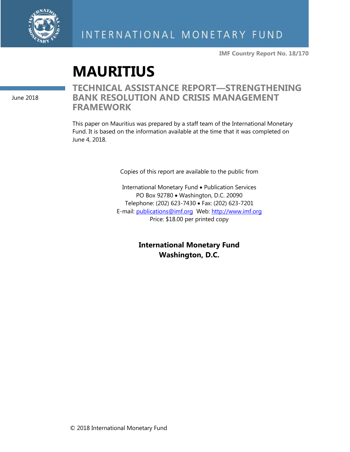

**IMF Country Report No. 18/170**

# **MAURITIUS**

June 2018

# **TECHNICAL ASSISTANCE REPORT—STRENGTHENING BANK RESOLUTION AND CRISIS MANAGEMENT FRAMEWORK**

This paper on Mauritius was prepared by a staff team of the International Monetary Fund. It is based on the information available at the time that it was completed on June 4, 2018.

Copies of this report are available to the public from

International Monetary Fund • Publication Services PO Box 92780 • Washington, D.C. 20090 Telephone: (202) 623-7430 • Fax: (202) 623-7201 E-mail: [publications@imf.org](mailto:publications@imf.org) Web: [http://www.imf.org](http://0-www-imf-org.library.svsu.edu/) Price: \$18.00 per printed copy

> **International Monetary Fund Washington, D.C.**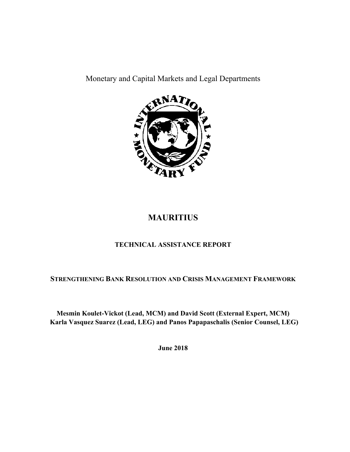Monetary and Capital Markets and Legal Departments



# **MAURITIUS**

# **TECHNICAL ASSISTANCE REPORT**

**STRENGTHENING BANK RESOLUTION AND CRISIS MANAGEMENT FRAMEWORK** 

**Mesmin Koulet-Vickot (Lead, MCM) and David Scott (External Expert, MCM) Karla Vasquez Suarez (Lead, LEG) and Panos Papapaschalis (Senior Counsel, LEG)** 

**June 2018**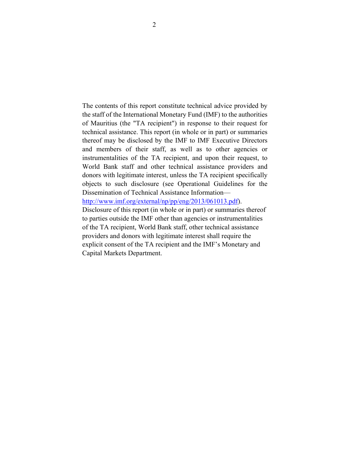The contents of this report constitute technical advice provided by the staff of the International Monetary Fund (IMF) to the authorities of Mauritius (the "TA recipient") in response to their request for technical assistance. This report (in whole or in part) or summaries thereof may be disclosed by the IMF to IMF Executive Directors and members of their staff, as well as to other agencies or instrumentalities of the TA recipient, and upon their request, to World Bank staff and other technical assistance providers and donors with legitimate interest, unless the TA recipient specifically objects to such disclosure (see Operational Guidelines for the Dissemination of Technical Assistance Information http://www.imf.org/external/np/pp/eng/2013/061013.pdf).

Disclosure of this report (in whole or in part) or summaries thereof to parties outside the IMF other than agencies or instrumentalities of the TA recipient, World Bank staff, other technical assistance providers and donors with legitimate interest shall require the explicit consent of the TA recipient and the IMF's Monetary and Capital Markets Department.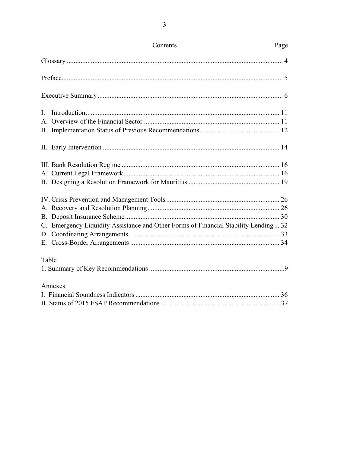|       | Contents                                                                            | rage |
|-------|-------------------------------------------------------------------------------------|------|
|       |                                                                                     |      |
|       |                                                                                     |      |
|       |                                                                                     |      |
|       |                                                                                     |      |
|       |                                                                                     |      |
|       |                                                                                     |      |
|       |                                                                                     |      |
|       |                                                                                     |      |
|       |                                                                                     |      |
|       |                                                                                     |      |
|       |                                                                                     |      |
|       |                                                                                     |      |
|       |                                                                                     |      |
|       | C. Emergency Liquidity Assistance and Other Forms of Financial Stability Lending 32 |      |
|       |                                                                                     |      |
|       |                                                                                     |      |
| Table |                                                                                     |      |
|       |                                                                                     |      |
|       | Annexes                                                                             |      |
|       |                                                                                     |      |
|       |                                                                                     |      |

# $Contents$

 $\overline{\mathbf{3}}$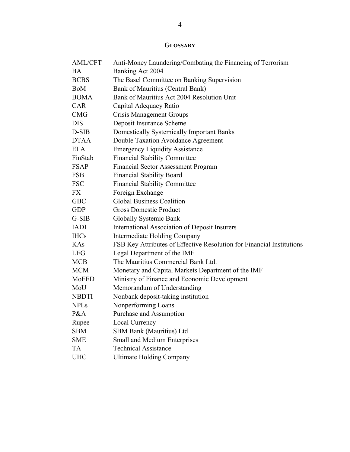# **GLOSSARY**

| <b>AML/CFT</b> | Anti-Money Laundering/Combating the Financing of Terrorism            |
|----------------|-----------------------------------------------------------------------|
| <b>BA</b>      | Banking Act 2004                                                      |
| <b>BCBS</b>    | The Basel Committee on Banking Supervision                            |
| BoM            | Bank of Mauritius (Central Bank)                                      |
| <b>BOMA</b>    | Bank of Mauritius Act 2004 Resolution Unit                            |
| <b>CAR</b>     | Capital Adequacy Ratio                                                |
| CMG            | <b>Crisis Management Groups</b>                                       |
| <b>DIS</b>     | Deposit Insurance Scheme                                              |
| $D-SIB$        | <b>Domestically Systemically Important Banks</b>                      |
| <b>DTAA</b>    | Double Taxation Avoidance Agreement                                   |
| <b>ELA</b>     | <b>Emergency Liquidity Assistance</b>                                 |
| FinStab        | <b>Financial Stability Committee</b>                                  |
| <b>FSAP</b>    | <b>Financial Sector Assessment Program</b>                            |
| <b>FSB</b>     | <b>Financial Stability Board</b>                                      |
| <b>FSC</b>     | <b>Financial Stability Committee</b>                                  |
| FX             | Foreign Exchange                                                      |
| <b>GBC</b>     | <b>Global Business Coalition</b>                                      |
| <b>GDP</b>     | <b>Gross Domestic Product</b>                                         |
| $G-SIB$        | Globally Systemic Bank                                                |
| <b>IADI</b>    | International Association of Deposit Insurers                         |
| <b>IHCs</b>    | Intermediate Holding Company                                          |
| KAs            | FSB Key Attributes of Effective Resolution for Financial Institutions |
| <b>LEG</b>     | Legal Department of the IMF                                           |
| <b>MCB</b>     | The Mauritius Commercial Bank Ltd.                                    |
| <b>MCM</b>     | Monetary and Capital Markets Department of the IMF                    |
| <b>MoFED</b>   | Ministry of Finance and Economic Development                          |
| MoU            | Memorandum of Understanding                                           |
| <b>NBDTI</b>   | Nonbank deposit-taking institution                                    |
| <b>NPLs</b>    | Nonperforming Loans                                                   |
| P&A            | Purchase and Assumption                                               |
| Rupee          | Local Currency                                                        |
| <b>SBM</b>     | SBM Bank (Mauritius) Ltd                                              |
| <b>SME</b>     | Small and Medium Enterprises                                          |
| TA             | <b>Technical Assistance</b>                                           |
| <b>UHC</b>     | <b>Ultimate Holding Company</b>                                       |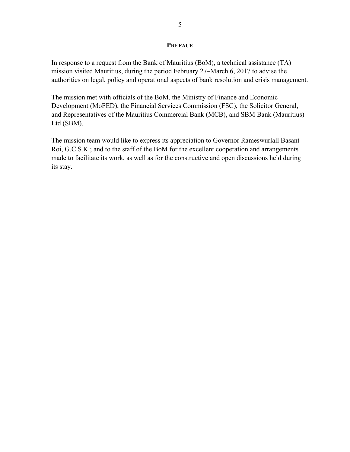#### **PREFACE**

In response to a request from the Bank of Mauritius (BoM), a technical assistance (TA) mission visited Mauritius, during the period February 27–March 6, 2017 to advise the authorities on legal, policy and operational aspects of bank resolution and crisis management.

The mission met with officials of the BoM, the Ministry of Finance and Economic Development (MoFED), the Financial Services Commission (FSC), the Solicitor General, and Representatives of the Mauritius Commercial Bank (MCB), and SBM Bank (Mauritius) Ltd (SBM).

The mission team would like to express its appreciation to Governor Rameswurlall Basant Roi, G.C.S.K.; and to the staff of the BoM for the excellent cooperation and arrangements made to facilitate its work, as well as for the constructive and open discussions held during its stay.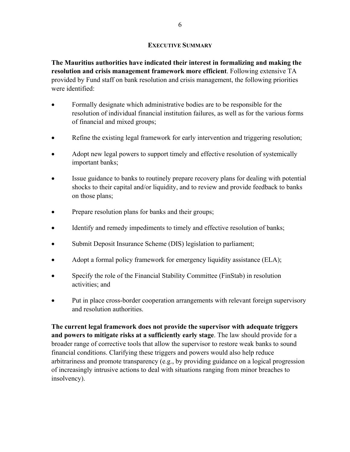#### **EXECUTIVE SUMMARY**

**The Mauritius authorities have indicated their interest in formalizing and making the resolution and crisis management framework more efficient**. Following extensive TA provided by Fund staff on bank resolution and crisis management, the following priorities were identified:

- Formally designate which administrative bodies are to be responsible for the resolution of individual financial institution failures, as well as for the various forms of financial and mixed groups;
- Refine the existing legal framework for early intervention and triggering resolution;
- Adopt new legal powers to support timely and effective resolution of systemically important banks;
- Issue guidance to banks to routinely prepare recovery plans for dealing with potential shocks to their capital and/or liquidity, and to review and provide feedback to banks on those plans;
- Prepare resolution plans for banks and their groups;
- Identify and remedy impediments to timely and effective resolution of banks;
- Submit Deposit Insurance Scheme (DIS) legislation to parliament;
- Adopt a formal policy framework for emergency liquidity assistance (ELA);
- Specify the role of the Financial Stability Committee (FinStab) in resolution activities; and
- Put in place cross-border cooperation arrangements with relevant foreign supervisory and resolution authorities.

**The current legal framework does not provide the supervisor with adequate triggers and powers to mitigate risks at a sufficiently early stage**. The law should provide for a broader range of corrective tools that allow the supervisor to restore weak banks to sound financial conditions. Clarifying these triggers and powers would also help reduce arbitrariness and promote transparency (e.g., by providing guidance on a logical progression of increasingly intrusive actions to deal with situations ranging from minor breaches to insolvency).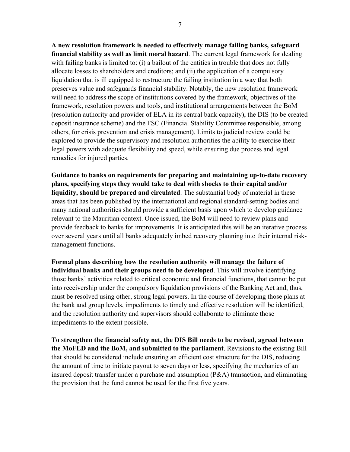**A new resolution framework is needed to effectively manage failing banks, safeguard financial stability as well as limit moral hazard**. The current legal framework for dealing with failing banks is limited to: (i) a bailout of the entities in trouble that does not fully allocate losses to shareholders and creditors; and (ii) the application of a compulsory liquidation that is ill equipped to restructure the failing institution in a way that both preserves value and safeguards financial stability. Notably, the new resolution framework will need to address the scope of institutions covered by the framework, objectives of the framework, resolution powers and tools, and institutional arrangements between the BoM (resolution authority and provider of ELA in its central bank capacity), the DIS (to be created deposit insurance scheme) and the FSC (Financial Stability Committee responsible, among others, for crisis prevention and crisis management). Limits to judicial review could be explored to provide the supervisory and resolution authorities the ability to exercise their legal powers with adequate flexibility and speed, while ensuring due process and legal remedies for injured parties.

**Guidance to banks on requirements for preparing and maintaining up-to-date recovery plans, specifying steps they would take to deal with shocks to their capital and/or liquidity, should be prepared and circulated**. The substantial body of material in these areas that has been published by the international and regional standard-setting bodies and many national authorities should provide a sufficient basis upon which to develop guidance relevant to the Mauritian context. Once issued, the BoM will need to review plans and provide feedback to banks for improvements. It is anticipated this will be an iterative process over several years until all banks adequately imbed recovery planning into their internal riskmanagement functions.

**Formal plans describing how the resolution authority will manage the failure of individual banks and their groups need to be developed**. This will involve identifying those banks' activities related to critical economic and financial functions, that cannot be put into receivership under the compulsory liquidation provisions of the Banking Act and, thus, must be resolved using other, strong legal powers. In the course of developing those plans at the bank and group levels, impediments to timely and effective resolution will be identified, and the resolution authority and supervisors should collaborate to eliminate those impediments to the extent possible.

**To strengthen the financial safety net, the DIS Bill needs to be revised, agreed between the MoFED and the BoM, and submitted to the parliament**. Revisions to the existing Bill that should be considered include ensuring an efficient cost structure for the DIS, reducing the amount of time to initiate payout to seven days or less, specifying the mechanics of an insured deposit transfer under a purchase and assumption (P&A) transaction, and eliminating the provision that the fund cannot be used for the first five years.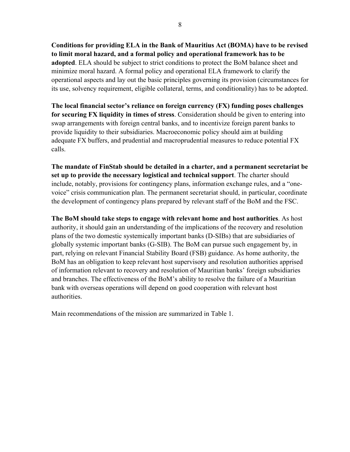**Conditions for providing ELA in the Bank of Mauritius Act (BOMA) have to be revised to limit moral hazard, and a formal policy and operational framework has to be adopted**. ELA should be subject to strict conditions to protect the BoM balance sheet and minimize moral hazard. A formal policy and operational ELA framework to clarify the operational aspects and lay out the basic principles governing its provision (circumstances for its use, solvency requirement, eligible collateral, terms, and conditionality) has to be adopted.

**The local financial sector's reliance on foreign currency (FX) funding poses challenges for securing FX liquidity in times of stress**. Consideration should be given to entering into swap arrangements with foreign central banks, and to incentivize foreign parent banks to provide liquidity to their subsidiaries. Macroeconomic policy should aim at building adequate FX buffers, and prudential and macroprudential measures to reduce potential FX calls.

**The mandate of FinStab should be detailed in a charter, and a permanent secretariat be set up to provide the necessary logistical and technical support**. The charter should include, notably, provisions for contingency plans, information exchange rules, and a "onevoice" crisis communication plan. The permanent secretariat should, in particular, coordinate the development of contingency plans prepared by relevant staff of the BoM and the FSC.

**The BoM should take steps to engage with relevant home and host authorities**. As host authority, it should gain an understanding of the implications of the recovery and resolution plans of the two domestic systemically important banks (D-SIBs) that are subsidiaries of globally systemic important banks (G-SIB). The BoM can pursue such engagement by, in part, relying on relevant Financial Stability Board (FSB) guidance. As home authority, the BoM has an obligation to keep relevant host supervisory and resolution authorities apprised of information relevant to recovery and resolution of Mauritian banks' foreign subsidiaries and branches. The effectiveness of the BoM's ability to resolve the failure of a Mauritian bank with overseas operations will depend on good cooperation with relevant host authorities.

Main recommendations of the mission are summarized in Table 1.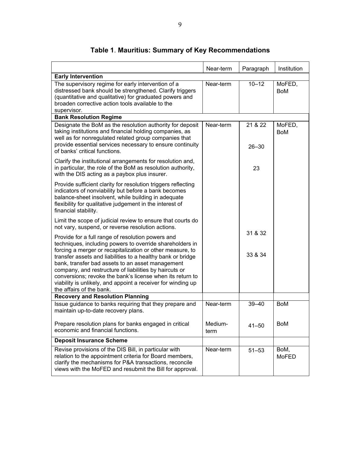|                                                                                                                                                                                                                                                                                                                                    | Near-term       | Paragraph            | Institution          |
|------------------------------------------------------------------------------------------------------------------------------------------------------------------------------------------------------------------------------------------------------------------------------------------------------------------------------------|-----------------|----------------------|----------------------|
| <b>Early Intervention</b>                                                                                                                                                                                                                                                                                                          |                 |                      |                      |
| The supervisory regime for early intervention of a<br>distressed bank should be strengthened. Clarify triggers<br>(quantitative and qualitative) for graduated powers and<br>broaden corrective action tools available to the<br>supervisor.                                                                                       | Near-term       | $10 - 12$            | MoFED,<br><b>BoM</b> |
| <b>Bank Resolution Regime</b>                                                                                                                                                                                                                                                                                                      |                 |                      |                      |
| Designate the BoM as the resolution authority for deposit<br>taking institutions and financial holding companies, as<br>well as for nonregulated related group companies that<br>provide essential services necessary to ensure continuity<br>of banks' critical functions.                                                        | Near-term       | 21 & 22<br>$26 - 30$ | MoFED,<br><b>BoM</b> |
| Clarify the institutional arrangements for resolution and,<br>in particular, the role of the BoM as resolution authority,<br>with the DIS acting as a paybox plus insurer.                                                                                                                                                         |                 | 23                   |                      |
| Provide sufficient clarity for resolution triggers reflecting<br>indicators of nonviability but before a bank becomes<br>balance-sheet insolvent, while building in adequate<br>flexibility for qualitative judgement in the interest of<br>financial stability.                                                                   |                 |                      |                      |
| Limit the scope of judicial review to ensure that courts do<br>not vary, suspend, or reverse resolution actions.                                                                                                                                                                                                                   |                 |                      |                      |
| Provide for a full range of resolution powers and<br>techniques, including powers to override shareholders in<br>forcing a merger or recapitalization or other measure, to                                                                                                                                                         |                 | 31 & 32              |                      |
| transfer assets and liabilities to a healthy bank or bridge<br>bank, transfer bad assets to an asset management<br>company, and restructure of liabilities by haircuts or<br>conversions; revoke the bank's license when its return to<br>viability is unlikely, and appoint a receiver for winding up<br>the affairs of the bank. |                 | 33 & 34              |                      |
| <b>Recovery and Resolution Planning</b>                                                                                                                                                                                                                                                                                            |                 |                      |                      |
| Issue guidance to banks requiring that they prepare and<br>maintain up-to-date recovery plans.                                                                                                                                                                                                                                     | Near-term       | $39 - 40$            | <b>BoM</b>           |
| Prepare resolution plans for banks engaged in critical<br>economic and financial functions.                                                                                                                                                                                                                                        | Medium-<br>term | $41 - 50$            | <b>BoM</b>           |
| <b>Deposit Insurance Scheme</b>                                                                                                                                                                                                                                                                                                    |                 |                      |                      |
| Revise provisions of the DIS Bill, in particular with<br>relation to the appointment criteria for Board members,<br>clarify the mechanisms for P&A transactions, reconcile<br>views with the MoFED and resubmit the Bill for approval.                                                                                             | Near-term       | $51 - 53$            | BoM,<br><b>MoFED</b> |

# **Table 1**. **Mauritius: Summary of Key Recommendations**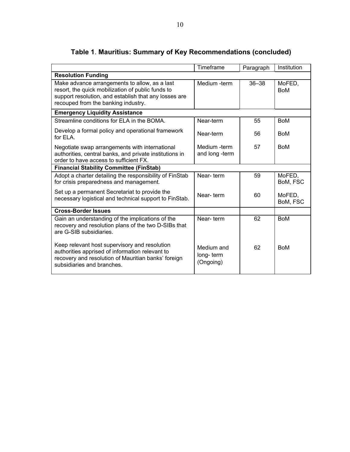# **Table 1**. **Mauritius: Summary of Key Recommendations (concluded)**

|                                                                                                                                                                                                    | Timeframe                            | Paragraph | Institution          |
|----------------------------------------------------------------------------------------------------------------------------------------------------------------------------------------------------|--------------------------------------|-----------|----------------------|
| <b>Resolution Funding</b>                                                                                                                                                                          |                                      |           |                      |
| Make advance arrangements to allow, as a last<br>resort, the quick mobilization of public funds to<br>support resolution, and establish that any losses are<br>recouped from the banking industry. | Medium -term                         | $36 - 38$ | MoFED,<br><b>BoM</b> |
| <b>Emergency Liquidity Assistance</b>                                                                                                                                                              |                                      |           |                      |
| Streamline conditions for ELA in the BOMA.                                                                                                                                                         | Near-term                            | 55        | <b>BoM</b>           |
| Develop a formal policy and operational framework<br>for ELA.                                                                                                                                      | Near-term                            | 56        | <b>BoM</b>           |
| Negotiate swap arrangements with international<br>authorities, central banks, and private institutions in<br>order to have access to sufficient FX.                                                | Medium -term<br>and long -term       | 57        | <b>BoM</b>           |
| <b>Financial Stability Committee (FinStab)</b>                                                                                                                                                     |                                      |           |                      |
| Adopt a charter detailing the responsibility of FinStab<br>for crisis preparedness and management.                                                                                                 | Near-term                            | 59        | MoFED,<br>BoM, FSC   |
| Set up a permanent Secretariat to provide the<br>necessary logistical and technical support to FinStab.                                                                                            | Near-term                            | 60        | MoFED,<br>BoM, FSC   |
| <b>Cross-Border Issues</b>                                                                                                                                                                         |                                      |           |                      |
| Gain an understanding of the implications of the<br>recovery and resolution plans of the two D-SIBs that<br>are G-SIB subsidiaries.                                                                | Near-term                            | 62        | <b>BoM</b>           |
| Keep relevant host supervisory and resolution<br>authorities apprised of information relevant to<br>recovery and resolution of Mauritian banks' foreign<br>subsidiaries and branches.              | Medium and<br>long-term<br>(Ongoing) | 62        | <b>BoM</b>           |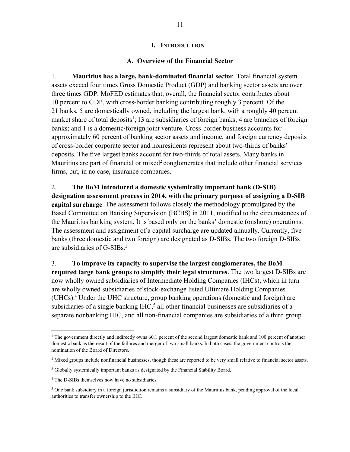#### **I. INTRODUCTION**

#### **A. Overview of the Financial Sector**

1. **Mauritius has a large, bank-dominated financial sector**. Total financial system assets exceed four times Gross Domestic Product (GDP) and banking sector assets are over three times GDP. MoFED estimates that, overall, the financial sector contributes about 10 percent to GDP, with cross-border banking contributing roughly 3 percent. Of the 21 banks, 5 are domestically owned, including the largest bank, with a roughly 40 percent market share of total deposits<sup>1</sup>; 13 are subsidiaries of foreign banks; 4 are branches of foreign banks; and 1 is a domestic/foreign joint venture. Cross-border business accounts for approximately 60 percent of banking sector assets and income, and foreign currency deposits of cross-border corporate sector and nonresidents represent about two-thirds of banks' deposits. The five largest banks account for two-thirds of total assets. Many banks in Mauritius are part of financial or mixed<sup>2</sup> conglomerates that include other financial services firms, but, in no case, insurance companies.

2. **The BoM introduced a domestic systemically important bank (D-SIB) designation assessment process in 2014, with the primary purpose of assigning a D-SIB capital surcharge**. The assessment follows closely the methodology promulgated by the Basel Committee on Banking Supervision (BCBS) in 2011, modified to the circumstances of the Mauritius banking system. It is based only on the banks' domestic (onshore) operations. The assessment and assignment of a capital surcharge are updated annually. Currently, five banks (three domestic and two foreign) are designated as D-SIBs. The two foreign D-SIBs are subsidiaries of G-SIBs.3

3. **To improve its capacity to supervise the largest conglomerates, the BoM required large bank groups to simplify their legal structures**. The two largest D-SIBs are now wholly owned subsidiaries of Intermediate Holding Companies (IHCs), which in turn are wholly owned subsidiaries of stock-exchange listed Ultimate Holding Companies (UHCs).4 Under the UHC structure, group banking operations (domestic and foreign) are subsidiaries of a single banking IHC,<sup>5</sup> all other financial businesses are subsidiaries of a separate nonbanking IHC, and all non-financial companies are subsidiaries of a third group

1

 $1$  The government directly and indirectly owns 60.1 percent of the second largest domestic bank and 100 percent of another domestic bank as the result of the failures and merger of two small banks. In both cases, the government controls the nomination of the Board of Directors.

 $<sup>2</sup>$  Mixed groups include nonfinancial businesses, though these are reported to be very small relative to financial sector assets.</sup>

<sup>&</sup>lt;sup>3</sup> Globally systemically important banks as designated by the Financial Stability Board.

<sup>&</sup>lt;sup>4</sup> The D-SIBs themselves now have no subsidiaries.

 $<sup>5</sup>$  One bank subsidiary in a foreign jurisdiction remains a subsidiary of the Mauritius bank, pending approval of the local</sup> authorities to transfer ownership to the IHC.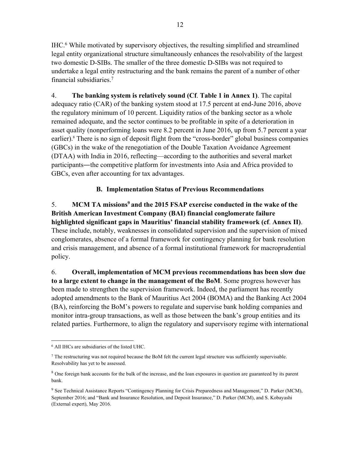IHC.6 While motivated by supervisory objectives, the resulting simplified and streamlined legal entity organizational structure simultaneously enhances the resolvability of the largest two domestic D-SIBs. The smaller of the three domestic D-SIBs was not required to undertake a legal entity restructuring and the bank remains the parent of a number of other financial subsidiaries.7

4. **The banking system is relatively sound (Cf**. **Table 1 in Annex 1)**. The capital adequacy ratio (CAR) of the banking system stood at 17.5 percent at end-June 2016, above the regulatory minimum of 10 percent. Liquidity ratios of the banking sector as a whole remained adequate, and the sector continues to be profitable in spite of a deterioration in asset quality (nonperforming loans were 8.2 percent in June 2016, up from 5.7 percent a year earlier).<sup>8</sup> There is no sign of deposit flight from the "cross-border" global business companies (GBCs) in the wake of the renegotiation of the Double Taxation Avoidance Agreement (DTAA) with India in 2016, reflecting—according to the authorities and several market participants—the competitive platform for investments into Asia and Africa provided to GBCs, even after accounting for tax advantages.

## **B. Implementation Status of Previous Recommendations**

5. **MCM TA missions9 and the 2015 FSAP exercise conducted in the wake of the British American Investment Company (BAI) financial conglomerate failure highlighted significant gaps in Mauritius' financial stability framework (cf**. **Annex II)**. These include, notably, weaknesses in consolidated supervision and the supervision of mixed conglomerates, absence of a formal framework for contingency planning for bank resolution and crisis management, and absence of a formal institutional framework for macroprudential policy.

6. **Overall, implementation of MCM previous recommendations has been slow due to a large extent to change in the management of the BoM**. Some progress however has been made to strengthen the supervision framework. Indeed, the parliament has recently adopted amendments to the Bank of Mauritius Act 2004 (BOMA) and the Banking Act 2004 (BA), reinforcing the BoM's powers to regulate and supervise bank holding companies and monitor intra-group transactions, as well as those between the bank's group entities and its related parties. Furthermore, to align the regulatory and supervisory regime with international

 $\overline{a}$ 6 All IHCs are subsidiaries of the listed UHC.

 $<sup>7</sup>$  The restructuring was not required because the BoM felt the current legal structure was sufficiently supervisable.</sup> Resolvability has yet to be assessed.

<sup>&</sup>lt;sup>8</sup> One foreign bank accounts for the bulk of the increase, and the loan exposures in question are guaranteed by its parent bank.

<sup>&</sup>lt;sup>9</sup> See Technical Assistance Reports "Contingency Planning for Crisis Preparedness and Management," D. Parker (MCM), September 2016; and "Bank and Insurance Resolution, and Deposit Insurance," D. Parker (MCM), and S. Kobayashi (External expert), May 2016.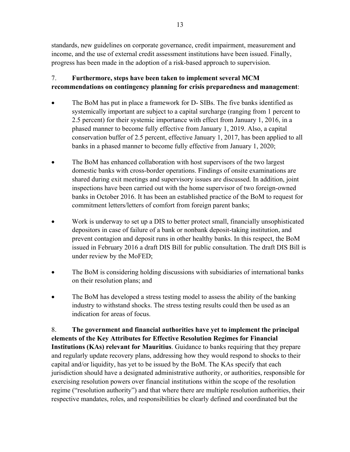standards, new guidelines on corporate governance, credit impairment, measurement and income, and the use of external credit assessment institutions have been issued. Finally, progress has been made in the adoption of a risk-based approach to supervision.

# 7. **Furthermore, steps have been taken to implement several MCM recommendations on contingency planning for crisis preparedness and management**:

- The BoM has put in place a framework for D- SIBs. The five banks identified as systemically important are subject to a capital surcharge (ranging from 1 percent to 2.5 percent) for their systemic importance with effect from January 1, 2016, in a phased manner to become fully effective from January 1, 2019. Also, a capital conservation buffer of 2.5 percent, effective January 1, 2017, has been applied to all banks in a phased manner to become fully effective from January 1, 2020;
- The BoM has enhanced collaboration with host supervisors of the two largest domestic banks with cross-border operations. Findings of onsite examinations are shared during exit meetings and supervisory issues are discussed. In addition, joint inspections have been carried out with the home supervisor of two foreign-owned banks in October 2016. It has been an established practice of the BoM to request for commitment letters/letters of comfort from foreign parent banks;
- Work is underway to set up a DIS to better protect small, financially unsophisticated depositors in case of failure of a bank or nonbank deposit-taking institution, and prevent contagion and deposit runs in other healthy banks. In this respect, the BoM issued in February 2016 a draft DIS Bill for public consultation. The draft DIS Bill is under review by the MoFED;
- The BoM is considering holding discussions with subsidiaries of international banks on their resolution plans; and
- The BoM has developed a stress testing model to assess the ability of the banking industry to withstand shocks. The stress testing results could then be used as an indication for areas of focus.

8. **The government and financial authorities have yet to implement the principal elements of the Key Attributes for Effective Resolution Regimes for Financial Institutions (KAs) relevant for Mauritius**. Guidance to banks requiring that they prepare and regularly update recovery plans, addressing how they would respond to shocks to their capital and/or liquidity, has yet to be issued by the BoM. The KAs specify that each jurisdiction should have a designated administrative authority, or authorities, responsible for exercising resolution powers over financial institutions within the scope of the resolution regime ("resolution authority") and that where there are multiple resolution authorities, their respective mandates, roles, and responsibilities be clearly defined and coordinated but the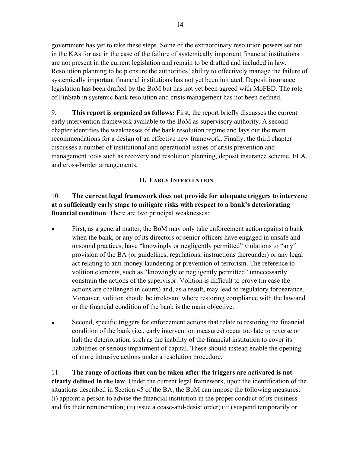government has yet to take these steps. Some of the extraordinary resolution powers set out in the KAs for use in the case of the failure of systemically important financial institutions are not present in the current legislation and remain to be drafted and included in law. Resolution planning to help ensure the authorities' ability to effectively manage the failure of systemically important financial institutions has not yet been initiated. Deposit insurance legislation has been drafted by the BoM but has not yet been agreed with MoFED. The role of FinStab in systemic bank resolution and crisis management has not been defined.

9. **This report is organized as follows:** First, the report briefly discusses the current early intervention framework available to the BoM as supervisory authority. A second chapter identifies the weaknesses of the bank resolution regime and lays out the main recommendations for a design of an effective new framework. Finally, the third chapter discusses a number of institutional and operational issues of crisis prevention and management tools such as recovery and resolution planning, deposit insurance scheme, ELA, and cross-border arrangements.

#### **II. EARLY INTERVENTION**

10. **The current legal framework does not provide for adequate triggers to intervene at a sufficiently early stage to mitigate risks with respect to a bank's deteriorating financial condition**. There are two principal weaknesses:

- First, as a general matter, the BoM may only take enforcement action against a bank when the bank, or any of its directors or senior officers have engaged in unsafe and unsound practices, have "knowingly or negligently permitted" violations to "any" provision of the BA (or guidelines, regulations, instructions thereunder) or any legal act relating to anti-money laundering or prevention of terrorism. The reference to volition elements, such as "knowingly or negligently permitted" unnecessarily constrain the actions of the supervisor. Volition is difficult to prove (in case the actions are challenged in courts) and, as a result, may lead to regulatory forbearance. Moreover, volition should be irrelevant where restoring compliance with the law/and or the financial condition of the bank is the main objective.
- Second, specific triggers for enforcement actions that relate to restoring the financial condition of the bank (i.e., early intervention measures) occur too late to reverse or halt the deterioration, such as the inability of the financial institution to cover its liabilities or serious impairment of capital. These should instead enable the opening of more intrusive actions under a resolution procedure.

11. **The range of actions that can be taken after the triggers are activated is not clearly defined in the law**. Under the current legal framework, upon the identification of the situations described in Section 45 of the BA, the BoM can impose the following measures: (i) appoint a person to advise the financial institution in the proper conduct of its business and fix their remuneration; (ii) issue a cease-and-desist order; (iii) suspend temporarily or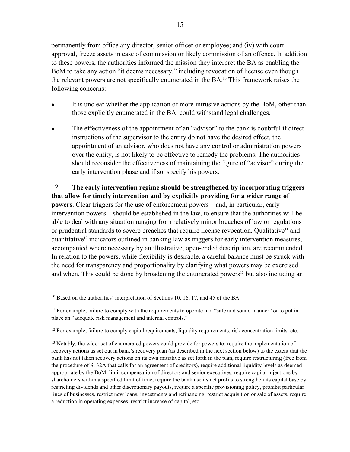15

permanently from office any director, senior officer or employee; and (iv) with court approval, freeze assets in case of commission or likely commission of an offence. In addition to these powers, the authorities informed the mission they interpret the BA as enabling the BoM to take any action "it deems necessary," including revocation of license even though the relevant powers are not specifically enumerated in the BA.<sup>10</sup> This framework raises the following concerns:

- It is unclear whether the application of more intrusive actions by the BoM, other than those explicitly enumerated in the BA, could withstand legal challenges.
- The effectiveness of the appointment of an "advisor" to the bank is doubtful if direct instructions of the supervisor to the entity do not have the desired effect, the appointment of an advisor, who does not have any control or administration powers over the entity, is not likely to be effective to remedy the problems. The authorities should reconsider the effectiveness of maintaining the figure of "advisor" during the early intervention phase and if so, specify his powers.

12. **The early intervention regime should be strengthened by incorporating triggers that allow for timely intervention and by explicitly providing for a wider range of powers**. Clear triggers for the use of enforcement powers—and, in particular, early intervention powers—should be established in the law, to ensure that the authorities will be able to deal with any situation ranging from relatively minor breaches of law or regulations or prudential standards to severe breaches that require license revocation. Qualitative<sup>11</sup> and quantitative<sup>12</sup> indicators outlined in banking law as triggers for early intervention measures, accompanied where necessary by an illustrative, open-ended description, are recommended. In relation to the powers, while flexibility is desirable, a careful balance must be struck with the need for transparency and proportionality by clarifying what powers may be exercised and when. This could be done by broadening the enumerated powers<sup>13</sup> but also including an

 $\overline{a}$ <sup>10</sup> Based on the authorities' interpretation of Sections 10, 16, 17, and 45 of the BA.

<sup>&</sup>lt;sup>11</sup> For example, failure to comply with the requirements to operate in a "safe and sound manner" or to put in place an "adequate risk management and internal controls."

<sup>&</sup>lt;sup>12</sup> For example, failure to comply capital requirements, liquidity requirements, risk concentration limits, etc.

<sup>&</sup>lt;sup>13</sup> Notably, the wider set of enumerated powers could provide for powers to: require the implementation of recovery actions as set out in bank's recovery plan (as described in the next section below) to the extent that the bank has not taken recovery actions on its own initiative as set forth in the plan, require restructuring (free from the procedure of S. 32A that calls for an agreement of creditors), require additional liquidity levels as deemed appropriate by the BoM, limit compensation of directors and senior executives, require capital injections by shareholders within a specified limit of time, require the bank use its net profits to strengthen its capital base by restricting dividends and other discretionary payouts, require a specific provisioning policy, prohibit particular lines of businesses, restrict new loans, investments and refinancing, restrict acquisition or sale of assets, require a reduction in operating expenses, restrict increase of capital, etc.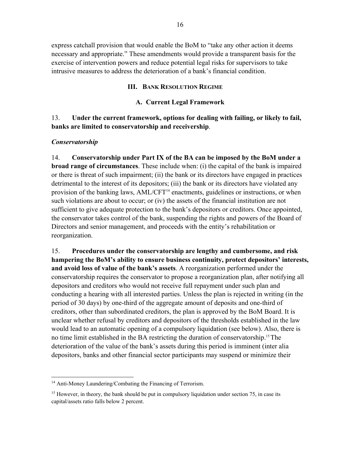express catchall provision that would enable the BoM to "take any other action it deems necessary and appropriate." These amendments would provide a transparent basis for the exercise of intervention powers and reduce potential legal risks for supervisors to take intrusive measures to address the deterioration of a bank's financial condition.

#### **III. BANK RESOLUTION REGIME**

#### **A. Current Legal Framework**

#### 13. **Under the current framework, options for dealing with failing, or likely to fail, banks are limited to conservatorship and receivership**.

#### *Conservatorship*

 $\overline{a}$ 

14. **Conservatorship under Part IX of the BA can be imposed by the BoM under a broad range of circumstances**. These include when: (i) the capital of the bank is impaired or there is threat of such impairment; (ii) the bank or its directors have engaged in practices detrimental to the interest of its depositors; (iii) the bank or its directors have violated any provision of the banking laws, AML/CFT<sup>14</sup> enactments, guidelines or instructions, or when such violations are about to occur; or (iv) the assets of the financial institution are not sufficient to give adequate protection to the bank's depositors or creditors. Once appointed, the conservator takes control of the bank, suspending the rights and powers of the Board of Directors and senior management, and proceeds with the entity's rehabilitation or reorganization.

15. **Procedures under the conservatorship are lengthy and cumbersome, and risk hampering the BoM's ability to ensure business continuity, protect depositors' interests, and avoid loss of value of the bank's assets**. A reorganization performed under the conservatorship requires the conservator to propose a reorganization plan, after notifying all depositors and creditors who would not receive full repayment under such plan and conducting a hearing with all interested parties. Unless the plan is rejected in writing (in the period of 30 days) by one-third of the aggregate amount of deposits and one-third of creditors, other than subordinated creditors, the plan is approved by the BoM Board. It is unclear whether refusal by creditors and depositors of the thresholds established in the law would lead to an automatic opening of a compulsory liquidation (see below). Also, there is no time limit established in the BA restricting the duration of conservatorship.<sup>15</sup> The deterioration of the value of the bank's assets during this period is imminent (inter alia depositors, banks and other financial sector participants may suspend or minimize their

<sup>&</sup>lt;sup>14</sup> Anti-Money Laundering/Combating the Financing of Terrorism.

<sup>&</sup>lt;sup>15</sup> However, in theory, the bank should be put in compulsory liquidation under section 75, in case its capital/assets ratio falls below 2 percent.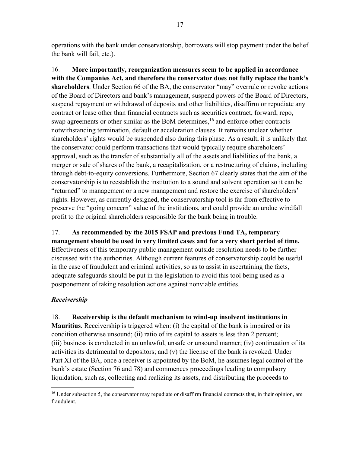operations with the bank under conservatorship, borrowers will stop payment under the belief the bank will fail, etc.).

16. **More importantly, reorganization measures seem to be applied in accordance with the Companies Act, and therefore the conservator does not fully replace the bank's shareholders**. Under Section 66 of the BA, the conservator "may" overrule or revoke actions of the Board of Directors and bank's management, suspend powers of the Board of Directors, suspend repayment or withdrawal of deposits and other liabilities, disaffirm or repudiate any contract or lease other than financial contracts such as securities contract, forward, repo, swap agreements or other similar as the BoM determines,  $16$  and enforce other contracts notwithstanding termination, default or acceleration clauses. It remains unclear whether shareholders' rights would be suspended also during this phase. As a result, it is unlikely that the conservator could perform transactions that would typically require shareholders' approval, such as the transfer of substantially all of the assets and liabilities of the bank, a merger or sale of shares of the bank, a recapitalization, or a restructuring of claims, including through debt-to-equity conversions. Furthermore, Section 67 clearly states that the aim of the conservatorship is to reestablish the institution to a sound and solvent operation so it can be "returned" to management or a new management and restore the exercise of shareholders' rights. However, as currently designed, the conservatorship tool is far from effective to preserve the "going concern" value of the institutions, and could provide an undue windfall profit to the original shareholders responsible for the bank being in trouble.

17. **As recommended by the 2015 FSAP and previous Fund TA, temporary management should be used in very limited cases and for a very short period of time**. Effectiveness of this temporary public management outside resolution needs to be further discussed with the authorities. Although current features of conservatorship could be useful in the case of fraudulent and criminal activities, so as to assist in ascertaining the facts, adequate safeguards should be put in the legislation to avoid this tool being used as a postponement of taking resolution actions against nonviable entities.

# *Receivership*

18. **Receivership is the default mechanism to wind-up insolvent institutions in Mauritius**. Receivership is triggered when: (i) the capital of the bank is impaired or its condition otherwise unsound; (ii) ratio of its capital to assets is less than 2 percent; (iii) business is conducted in an unlawful, unsafe or unsound manner; (iv) continuation of its activities its detrimental to depositors; and (v) the license of the bank is revoked. Under Part XI of the BA, once a receiver is appointed by the BoM, he assumes legal control of the bank's estate (Section 76 and 78) and commences proceedings leading to compulsory liquidation, such as, collecting and realizing its assets, and distributing the proceeds to

 $\overline{a}$ <sup>16</sup> Under subsection 5, the conservator may repudiate or disaffirm financial contracts that, in their opinion, are fraudulent.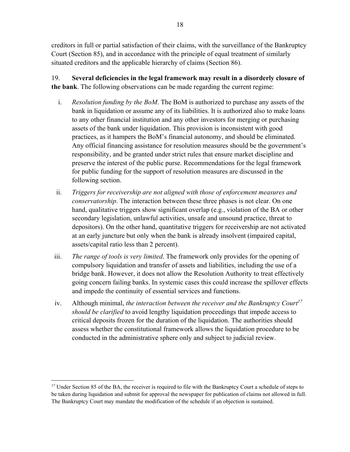creditors in full or partial satisfaction of their claims, with the surveillance of the Bankruptcy Court (Section 85), and in accordance with the principle of equal treatment of similarly situated creditors and the applicable hierarchy of claims (Section 86).

19. **Several deficiencies in the legal framework may result in a disorderly closure of the bank**. The following observations can be made regarding the current regime:

- i. *Resolution funding by the BoM*. The BoM is authorized to purchase any assets of the bank in liquidation or assume any of its liabilities. It is authorized also to make loans to any other financial institution and any other investors for merging or purchasing assets of the bank under liquidation. This provision is inconsistent with good practices, as it hampers the BoM's financial autonomy, and should be eliminated. Any official financing assistance for resolution measures should be the government's responsibility, and be granted under strict rules that ensure market discipline and preserve the interest of the public purse. Recommendations for the legal framework for public funding for the support of resolution measures are discussed in the following section.
- ii. *Triggers for receivership are not aligned with those of enforcement measures and conservatorship*. The interaction between these three phases is not clear. On one hand, qualitative triggers show significant overlap (e.g., violation of the BA or other secondary legislation, unlawful activities, unsafe and unsound practice, threat to depositors). On the other hand, quantitative triggers for receivership are not activated at an early juncture but only when the bank is already insolvent (impaired capital, assets/capital ratio less than 2 percent).
- iii. *The range of tools is very limited*. The framework only provides for the opening of compulsory liquidation and transfer of assets and liabilities, including the use of a bridge bank. However, it does not allow the Resolution Authority to treat effectively going concern failing banks. In systemic cases this could increase the spillover effects and impede the continuity of essential services and functions.
- iv. Although minimal, *the interaction between the receiver and the Bankruptcy Court<sup>17</sup> should be clarified* to avoid lengthy liquidation proceedings that impede access to critical deposits frozen for the duration of the liquidation. The authorities should assess whether the constitutional framework allows the liquidation procedure to be conducted in the administrative sphere only and subject to judicial review.

 $\overline{a}$ 

 $17$  Under Section 85 of the BA, the receiver is required to file with the Bankruptcy Court a schedule of steps to be taken during liquidation and submit for approval the newspaper for publication of claims not allowed in full. The Bankruptcy Court may mandate the modification of the schedule if an objection is sustained.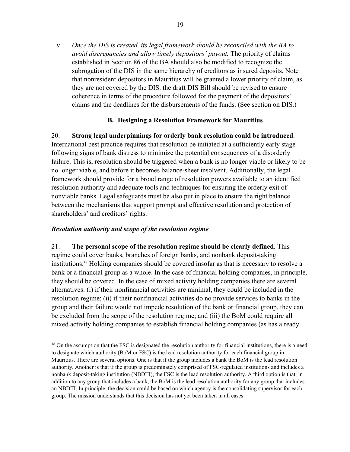v. *Once the DIS is created, its legal framework should be reconciled with the BA to avoid discrepancies and allow timely depositors' payout.* The priority of claims established in Section 86 of the BA should also be modified to recognize the subrogation of the DIS in the same hierarchy of creditors as insured deposits. Note that nonresident depositors in Mauritius will be granted a lower priority of claim, as they are not covered by the DIS. the draft DIS Bill should be revised to ensure coherence in terms of the procedure followed for the payment of the depositors' claims and the deadlines for the disbursements of the funds. (See section on DIS.)

## **B. Designing a Resolution Framework for Mauritius**

20. **Strong legal underpinnings for orderly bank resolution could be introduced**. International best practice requires that resolution be initiated at a sufficiently early stage following signs of bank distress to minimize the potential consequences of a disorderly failure. This is, resolution should be triggered when a bank is no longer viable or likely to be no longer viable, and before it becomes balance-sheet insolvent. Additionally, the legal framework should provide for a broad range of resolution powers available to an identified resolution authority and adequate tools and techniques for ensuring the orderly exit of nonviable banks. Legal safeguards must be also put in place to ensure the right balance between the mechanisms that support prompt and effective resolution and protection of shareholders' and creditors' rights.

#### *Resolution authority and scope of the resolution regime*

 $\overline{a}$ 

21. **The personal scope of the resolution regime should be clearly defined**. This regime could cover banks, branches of foreign banks, and nonbank deposit-taking institutions.18 Holding companies should be covered insofar as that is necessary to resolve a bank or a financial group as a whole. In the case of financial holding companies, in principle, they should be covered. In the case of mixed activity holding companies there are several alternatives: (i) if their nonfinancial activities are minimal, they could be included in the resolution regime; (ii) if their nonfinancial activities do no provide services to banks in the group and their failure would not impede resolution of the bank or financial group, they can be excluded from the scope of the resolution regime; and (iii) the BoM could require all mixed activity holding companies to establish financial holding companies (as has already

<sup>&</sup>lt;sup>18</sup> On the assumption that the FSC is designated the resolution authority for financial institutions, there is a need to designate which authority (BoM or FSC) is the lead resolution authority for each financial group in Mauritius. There are several options. One is that if the group includes a bank the BoM is the lead resolution authority. Another is that if the group is predominately comprised of FSC-regulated institutions and includes a nonbank deposit-taking institution (NBDTI), the FSC is the lead resolution authority. A third option is that, in addition to any group that includes a bank, the BoM is the lead resolution authority for any group that includes an NBDTI. In principle, the decision could be based on which agency is the consolidating supervisor for each group. The mission understands that this decision has not yet been taken in all cases.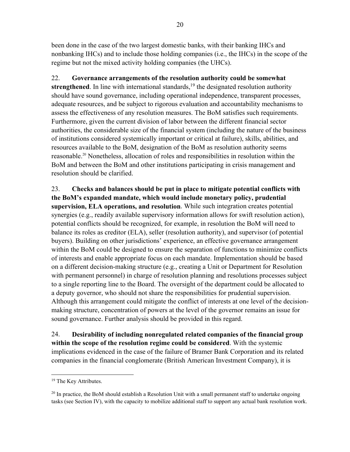been done in the case of the two largest domestic banks, with their banking IHCs and nonbanking IHCs) and to include those holding companies (i.e., the IHCs) in the scope of the regime but not the mixed activity holding companies (the UHCs).

## 22. **Governance arrangements of the resolution authority could be somewhat**

**strengthened**. In line with international standards,<sup>19</sup> the designated resolution authority should have sound governance, including operational independence, transparent processes, adequate resources, and be subject to rigorous evaluation and accountability mechanisms to assess the effectiveness of any resolution measures. The BoM satisfies such requirements. Furthermore, given the current division of labor between the different financial sector authorities, the considerable size of the financial system (including the nature of the business of institutions considered systemically important or critical at failure), skills, abilities, and resources available to the BoM, designation of the BoM as resolution authority seems reasonable.20 Nonetheless, allocation of roles and responsibilities in resolution within the BoM and between the BoM and other institutions participating in crisis management and resolution should be clarified.

23. **Checks and balances should be put in place to mitigate potential conflicts with the BoM's expanded mandate, which would include monetary policy, prudential supervision, ELA operations, and resolution**. While such integration creates potential synergies (e.g., readily available supervisory information allows for swift resolution action), potential conflicts should be recognized, for example, in resolution the BoM will need to balance its roles as creditor (ELA), seller (resolution authority), and supervisor (of potential buyers). Building on other jurisdictions' experience, an effective governance arrangement within the BoM could be designed to ensure the separation of functions to minimize conflicts of interests and enable appropriate focus on each mandate. Implementation should be based on a different decision-making structure (e.g., creating a Unit or Department for Resolution with permanent personnel) in charge of resolution planning and resolutions processes subject to a single reporting line to the Board. The oversight of the department could be allocated to a deputy governor, who should not share the responsibilities for prudential supervision. Although this arrangement could mitigate the conflict of interests at one level of the decisionmaking structure, concentration of powers at the level of the governor remains an issue for sound governance. Further analysis should be provided in this regard.

24. **Desirability of including nonregulated related companies of the financial group within the scope of the resolution regime could be considered**. With the systemic implications evidenced in the case of the failure of Bramer Bank Corporation and its related companies in the financial conglomerate (British American Investment Company), it is

 $\overline{a}$ 

<sup>&</sup>lt;sup>19</sup> The Key Attributes.

 $^{20}$  In practice, the BoM should establish a Resolution Unit with a small permanent staff to undertake ongoing tasks (see Section IV), with the capacity to mobilize additional staff to support any actual bank resolution work.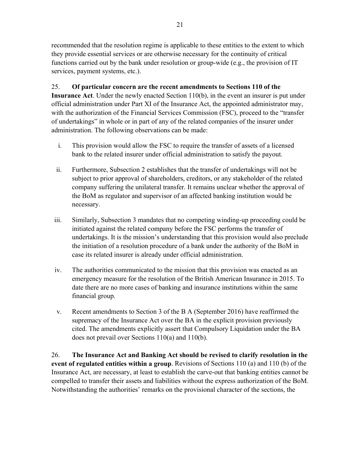recommended that the resolution regime is applicable to these entities to the extent to which they provide essential services or are otherwise necessary for the continuity of critical functions carried out by the bank under resolution or group-wide (e.g., the provision of IT services, payment systems, etc.).

25. **Of particular concern are the recent amendments to Sections 110 of the Insurance Act**. Under the newly enacted Section 110(b), in the event an insurer is put under official administration under Part XI of the Insurance Act, the appointed administrator may, with the authorization of the Financial Services Commission (FSC), proceed to the "transfer of undertakings" in whole or in part of any of the related companies of the insurer under administration. The following observations can be made:

- i. This provision would allow the FSC to require the transfer of assets of a licensed bank to the related insurer under official administration to satisfy the payout.
- ii. Furthermore, Subsection 2 establishes that the transfer of undertakings will not be subject to prior approval of shareholders, creditors, or any stakeholder of the related company suffering the unilateral transfer. It remains unclear whether the approval of the BoM as regulator and supervisor of an affected banking institution would be necessary.
- iii. Similarly, Subsection 3 mandates that no competing winding-up proceeding could be initiated against the related company before the FSC performs the transfer of undertakings. It is the mission's understanding that this provision would also preclude the initiation of a resolution procedure of a bank under the authority of the BoM in case its related insurer is already under official administration.
- iv. The authorities communicated to the mission that this provision was enacted as an emergency measure for the resolution of the British American Insurance in 2015. To date there are no more cases of banking and insurance institutions within the same financial group.
- v. Recent amendments to Section 3 of the B A (September 2016) have reaffirmed the supremacy of the Insurance Act over the BA in the explicit provision previously cited. The amendments explicitly assert that Compulsory Liquidation under the BA does not prevail over Sections 110(a) and 110(b).

26. **The Insurance Act and Banking Act should be revised to clarify resolution in the event of regulated entities within a group**. Revisions of Sections 110 (a) and 110 (b) of the Insurance Act, are necessary, at least to establish the carve-out that banking entities cannot be compelled to transfer their assets and liabilities without the express authorization of the BoM. Notwithstanding the authorities' remarks on the provisional character of the sections, the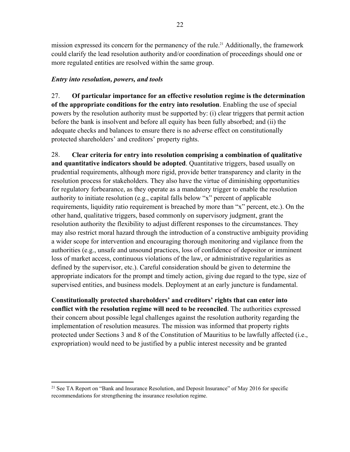mission expressed its concern for the permanency of the rule.<sup>21</sup> Additionally, the framework could clarify the lead resolution authority and/or coordination of proceedings should one or more regulated entities are resolved within the same group.

#### *Entry into resolution, powers, and tools*

 $\overline{a}$ 

27. **Of particular importance for an effective resolution regime is the determination of the appropriate conditions for the entry into resolution**. Enabling the use of special powers by the resolution authority must be supported by: (i) clear triggers that permit action before the bank is insolvent and before all equity has been fully absorbed; and (ii) the adequate checks and balances to ensure there is no adverse effect on constitutionally protected shareholders' and creditors' property rights.

28. **Clear criteria for entry into resolution comprising a combination of qualitative and quantitative indicators should be adopted**. Quantitative triggers, based usually on prudential requirements, although more rigid, provide better transparency and clarity in the resolution process for stakeholders. They also have the virtue of diminishing opportunities for regulatory forbearance, as they operate as a mandatory trigger to enable the resolution authority to initiate resolution (e.g., capital falls below "x" percent of applicable requirements, liquidity ratio requirement is breached by more than "x" percent, etc.). On the other hand, qualitative triggers, based commonly on supervisory judgment, grant the resolution authority the flexibility to adjust different responses to the circumstances. They may also restrict moral hazard through the introduction of a constructive ambiguity providing a wider scope for intervention and encouraging thorough monitoring and vigilance from the authorities (e.g., unsafe and unsound practices, loss of confidence of depositor or imminent loss of market access, continuous violations of the law, or administrative regularities as defined by the supervisor, etc.). Careful consideration should be given to determine the appropriate indicators for the prompt and timely action, giving due regard to the type, size of supervised entities, and business models. Deployment at an early juncture is fundamental.

**Constitutionally protected shareholders' and creditors' rights that can enter into conflict with the resolution regime will need to be reconciled**. The authorities expressed their concern about possible legal challenges against the resolution authority regarding the implementation of resolution measures. The mission was informed that property rights protected under Sections 3 and 8 of the Constitution of Mauritius to be lawfully affected (i.e., expropriation) would need to be justified by a public interest necessity and be granted

<sup>&</sup>lt;sup>21</sup> See TA Report on "Bank and Insurance Resolution, and Deposit Insurance" of May 2016 for specific recommendations for strengthening the insurance resolution regime.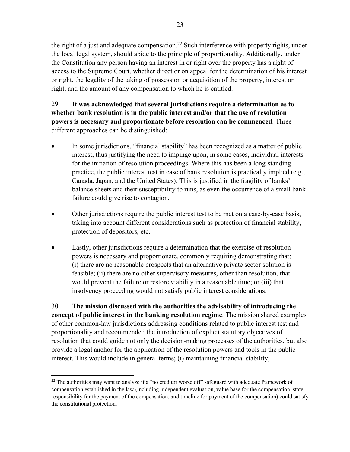the right of a just and adequate compensation.<sup>22</sup> Such interference with property rights, under the local legal system, should abide to the principle of proportionality. Additionally, under the Constitution any person having an interest in or right over the property has a right of access to the Supreme Court, whether direct or on appeal for the determination of his interest or right, the legality of the taking of possession or acquisition of the property, interest or right, and the amount of any compensation to which he is entitled.

29. **It was acknowledged that several jurisdictions require a determination as to whether bank resolution is in the public interest and/or that the use of resolution powers is necessary and proportionate before resolution can be commenced**. Three different approaches can be distinguished:

- In some jurisdictions, "financial stability" has been recognized as a matter of public interest, thus justifying the need to impinge upon, in some cases, individual interests for the initiation of resolution proceedings. Where this has been a long-standing practice, the public interest test in case of bank resolution is practically implied (e.g., Canada, Japan, and the United States). This is justified in the fragility of banks' balance sheets and their susceptibility to runs, as even the occurrence of a small bank failure could give rise to contagion.
- Other jurisdictions require the public interest test to be met on a case-by-case basis, taking into account different considerations such as protection of financial stability, protection of depositors, etc.
- Lastly, other jurisdictions require a determination that the exercise of resolution powers is necessary and proportionate, commonly requiring demonstrating that; (i) there are no reasonable prospects that an alternative private sector solution is feasible; (ii) there are no other supervisory measures, other than resolution, that would prevent the failure or restore viability in a reasonable time; or (iii) that insolvency proceeding would not satisfy public interest considerations.

30. **The mission discussed with the authorities the advisability of introducing the concept of public interest in the banking resolution regime**. The mission shared examples of other common-law jurisdictions addressing conditions related to public interest test and proportionality and recommended the introduction of explicit statutory objectives of resolution that could guide not only the decision-making processes of the authorities, but also provide a legal anchor for the application of the resolution powers and tools in the public interest. This would include in general terms; (i) maintaining financial stability;

 $\overline{a}$ <sup>22</sup> The authorities may want to analyze if a "no creditor worse off" safeguard with adequate framework of compensation established in the law (including independent evaluation, value base for the compensation, state responsibility for the payment of the compensation, and timeline for payment of the compensation) could satisfy the constitutional protection.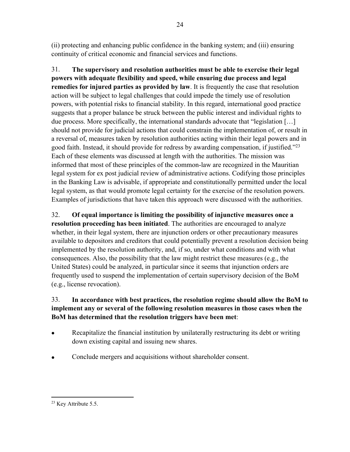(ii) protecting and enhancing public confidence in the banking system; and (iii) ensuring continuity of critical economic and financial services and functions.

31. **The supervisory and resolution authorities must be able to exercise their legal powers with adequate flexibility and speed, while ensuring due process and legal remedies for injured parties as provided by law**. It is frequently the case that resolution action will be subject to legal challenges that could impede the timely use of resolution powers, with potential risks to financial stability. In this regard, international good practice suggests that a proper balance be struck between the public interest and individual rights to due process. More specifically, the international standards advocate that "legislation […] should not provide for judicial actions that could constrain the implementation of, or result in a reversal of, measures taken by resolution authorities acting within their legal powers and in good faith. Instead, it should provide for redress by awarding compensation, if justified."23 Each of these elements was discussed at length with the authorities. The mission was informed that most of these principles of the common-law are recognized in the Mauritian legal system for ex post judicial review of administrative actions. Codifying those principles in the Banking Law is advisable, if appropriate and constitutionally permitted under the local legal system, as that would promote legal certainty for the exercise of the resolution powers. Examples of jurisdictions that have taken this approach were discussed with the authorities.

32. **Of equal importance is limiting the possibility of injunctive measures once a resolution proceeding has been initiated**. The authorities are encouraged to analyze whether, in their legal system, there are injunction orders or other precautionary measures available to depositors and creditors that could potentially prevent a resolution decision being implemented by the resolution authority, and, if so, under what conditions and with what consequences. Also, the possibility that the law might restrict these measures (e.g., the United States) could be analyzed, in particular since it seems that injunction orders are frequently used to suspend the implementation of certain supervisory decision of the BoM (e.g., license revocation).

# 33. **In accordance with best practices, the resolution regime should allow the BoM to implement any or several of the following resolution measures in those cases when the BoM has determined that the resolution triggers have been met**:

- Recapitalize the financial institution by unilaterally restructuring its debt or writing down existing capital and issuing new shares.
- Conclude mergers and acquisitions without shareholder consent.

 $\overline{a}$ <sup>23</sup> Key Attribute 5.5.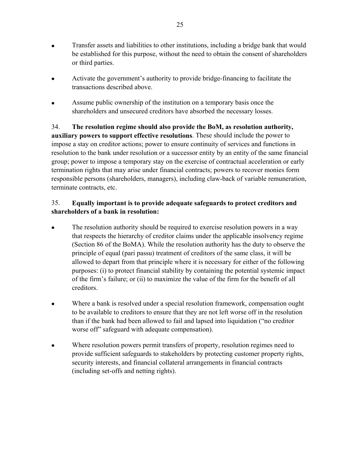- Transfer assets and liabilities to other institutions, including a bridge bank that would be established for this purpose, without the need to obtain the consent of shareholders or third parties.
- Activate the government's authority to provide bridge-financing to facilitate the transactions described above.
- Assume public ownership of the institution on a temporary basis once the shareholders and unsecured creditors have absorbed the necessary losses.

34. **The resolution regime should also provide the BoM, as resolution authority, auxiliary powers to support effective resolutions**. These should include the power to impose a stay on creditor actions; power to ensure continuity of services and functions in resolution to the bank under resolution or a successor entity by an entity of the same financial group; power to impose a temporary stay on the exercise of contractual acceleration or early termination rights that may arise under financial contracts; powers to recover monies form responsible persons (shareholders, managers), including claw-back of variable remuneration, terminate contracts, etc.

# 35. **Equally important is to provide adequate safeguards to protect creditors and shareholders of a bank in resolution:**

- The resolution authority should be required to exercise resolution powers in a way that respects the hierarchy of creditor claims under the applicable insolvency regime (Section 86 of the BoMA). While the resolution authority has the duty to observe the principle of equal (pari passu) treatment of creditors of the same class, it will be allowed to depart from that principle where it is necessary for either of the following purposes: (i) to protect financial stability by containing the potential systemic impact of the firm's failure; or (ii) to maximize the value of the firm for the benefit of all creditors.
- Where a bank is resolved under a special resolution framework, compensation ought to be available to creditors to ensure that they are not left worse off in the resolution than if the bank had been allowed to fail and lapsed into liquidation ("no creditor worse off" safeguard with adequate compensation).
- Where resolution powers permit transfers of property, resolution regimes need to provide sufficient safeguards to stakeholders by protecting customer property rights, security interests, and financial collateral arrangements in financial contracts (including set-offs and netting rights).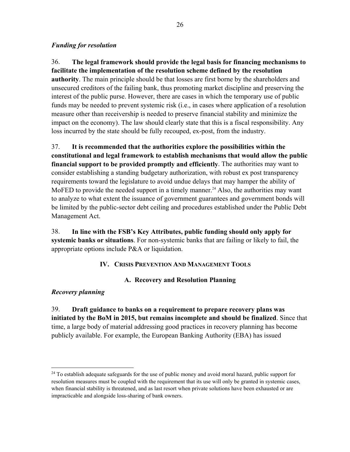#### *Funding for resolution*

36. **The legal framework should provide the legal basis for financing mechanisms to facilitate the implementation of the resolution scheme defined by the resolution authority**. The main principle should be that losses are first borne by the shareholders and unsecured creditors of the failing bank, thus promoting market discipline and preserving the interest of the public purse. However, there are cases in which the temporary use of public funds may be needed to prevent systemic risk (i.e., in cases where application of a resolution measure other than receivership is needed to preserve financial stability and minimize the impact on the economy). The law should clearly state that this is a fiscal responsibility. Any loss incurred by the state should be fully recouped, ex-post, from the industry.

37. **It is recommended that the authorities explore the possibilities within the constitutional and legal framework to establish mechanisms that would allow the public financial support to be provided promptly and efficiently**. The authorities may want to consider establishing a standing budgetary authorization, with robust ex post transparency requirements toward the legislature to avoid undue delays that may hamper the ability of MoFED to provide the needed support in a timely manner.<sup>24</sup> Also, the authorities may want to analyze to what extent the issuance of government guarantees and government bonds will be limited by the public-sector debt ceiling and procedures established under the Public Debt Management Act.

38. **In line with the FSB's Key Attributes, public funding should only apply for systemic banks or situations**. For non-systemic banks that are failing or likely to fail, the appropriate options include P&A or liquidation.

#### **IV. CRISIS PREVENTION AND MANAGEMENT TOOLS**

#### **A. Recovery and Resolution Planning**

#### *Recovery planning*

 $\overline{a}$ 

39. **Draft guidance to banks on a requirement to prepare recovery plans was initiated by the BoM in 2015, but remains incomplete and should be finalized**. Since that time, a large body of material addressing good practices in recovery planning has become publicly available. For example, the European Banking Authority (EBA) has issued

<sup>&</sup>lt;sup>24</sup> To establish adequate safeguards for the use of public money and avoid moral hazard, public support for resolution measures must be coupled with the requirement that its use will only be granted in systemic cases, when financial stability is threatened, and as last resort when private solutions have been exhausted or are impracticable and alongside loss-sharing of bank owners.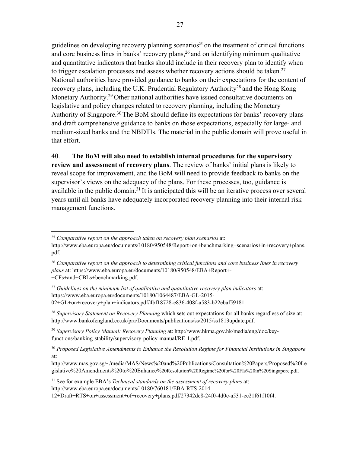guidelines on developing recovery planning scenarios<sup>25</sup> on the treatment of critical functions and core business lines in banks' recovery plans, <sup>26</sup> and on identifying minimum qualitative and quantitative indicators that banks should include in their recovery plan to identify when to trigger escalation processes and assess whether recovery actions should be taken.<sup>27</sup> National authorities have provided guidance to banks on their expectations for the content of recovery plans, including the U.K. Prudential Regulatory Authority<sup>28</sup> and the Hong Kong Monetary Authority.<sup>29</sup> Other national authorities have issued consultative documents on legislative and policy changes related to recovery planning, including the Monetary Authority of Singapore.<sup>30</sup> The BoM should define its expectations for banks' recovery plans and draft comprehensive guidance to banks on those expectations, especially for large- and medium-sized banks and the NBDTIs. The material in the public domain will prove useful in that effort.

#### 40. **The BoM will also need to establish internal procedures for the supervisory**

**review and assessment of recovery plans**. The review of banks' initial plans is likely to reveal scope for improvement, and the BoM will need to provide feedback to banks on the supervisor's views on the adequacy of the plans. For these processes, too, guidance is available in the public domain.<sup>31</sup> It is anticipated this will be an iterative process over several years until all banks have adequately incorporated recovery planning into their internal risk management functions.

 $\overline{a}$ 

<sup>25</sup> *Comparative report on the approach taken on recovery plan scenarios* at: http://www.eba.europa.eu/documents/10180/950548/Report+on+benchmarking+scenarios+in+recovery+plans. pdf.

<sup>26</sup> *Comparative report on the approach to determining critical functions and core business lines in recovery plans* at: https://www.eba.europa.eu/documents/10180/950548/EBA+Report+- +CFs+and+CBLs+benchmarking.pdf.

<sup>27</sup> *Guidelines on the minimum list of qualitative and quantitative recovery plan indicators* at: https://www.eba.europa.eu/documents/10180/1064487/EBA-GL-2015- 02+GL+on+recovery+plan+indicators.pdf/4bf18728-e836-408f-a583-b22ebaf59181.

<sup>28</sup> *Supervisory Statement on Recovery Planning* which sets out expectations for all banks regardless of size at: http://www.bankofengland.co.uk/pra/Documents/publications/ss/2015/ss1813update.pdf.

<sup>29</sup> *Supervisory Policy Manual: Recovery Planning* at: http://www.hkma.gov.hk/media/eng/doc/keyfunctions/banking-stability/supervisory-policy-manual/RE-1.pdf.

<sup>30</sup> *Proposed Legislative Amendments to Enhance the Resolution Regime for Financial Institutions in Singapore* at:

http://www.mas.gov.sg/~/media/MAS/News%20and%20Publications/Consultation%20Papers/Proposed%20Le gislative%20Amendments%20to%20Enhance%20Resolution%20Regime%20for%20FIs%20in%20Singapore.pdf.

<sup>31</sup> See for example EBA's *Technical standards on the assessment of recovery plans* at: http://www.eba.europa.eu/documents/10180/760181/EBA-RTS-2014-

<sup>12+</sup>Draft+RTS+on+assessment+of+recovery+plans.pdf/27342de8-24f0-4d0e-a531-ec21f61f10f4.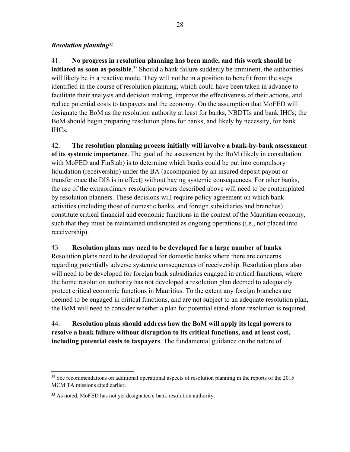#### *Resolution planning*<sup>32</sup>

41. **No progress in resolution planning has been made, and this work should be initiated as soon as possible**. 33 Should a bank failure suddenly be imminent, the authorities will likely be in a reactive mode. They will not be in a position to benefit from the steps identified in the course of resolution planning, which could have been taken in advance to facilitate their analysis and decision making, improve the effectiveness of their actions, and reduce potential costs to taxpayers and the economy. On the assumption that MoFED will designate the BoM as the resolution authority at least for banks, NBDTIs and bank IHCs; the BoM should begin preparing resolution plans for banks, and likely by necessity, for bank IHCs.

42. **The resolution planning process initially will involve a bank-by-bank assessment of its systemic importance**. The goal of the assessment by the BoM (likely in consultation with MoFED and FinStab) is to determine which banks could be put into compulsory liquidation (receivership) under the BA (accompanied by an insured deposit payout or transfer once the DIS is in effect) without having systemic consequences. For other banks, the use of the extraordinary resolution powers described above will need to be contemplated by resolution planners. These decisions will require policy agreement on which bank activities (including those of domestic banks, and foreign subsidiaries and branches) constitute critical financial and economic functions in the context of the Mauritian economy, such that they must be maintained undisrupted as ongoing operations (i.e., not placed into receivership).

#### 43. **Resolution plans may need to be developed for a large number of banks**.

Resolution plans need to be developed for domestic banks where there are concerns regarding potentially adverse systemic consequences of receivership. Resolution plans also will need to be developed for foreign bank subsidiaries engaged in critical functions, where the home resolution authority has not developed a resolution plan deemed to adequately protect critical economic functions in Mauritius. To the extent any foreign branches are deemed to be engaged in critical functions, and are not subject to an adequate resolution plan, the BoM will need to consider whether a plan for potential stand-alone resolution is required.

## 44. **Resolution plans should address how the BoM will apply its legal powers to resolve a bank failure without disruption to its critical functions, and at least cost, including potential costs to taxpayers**. The fundamental guidance on the nature of

 $\overline{a}$ 

 $32$  See recommendations on additional operational aspects of resolution planning in the reports of the 2015 MCM TA missions cited earlier.

<sup>&</sup>lt;sup>33</sup> As noted, MoFED has not yet designated a bank resolution authority.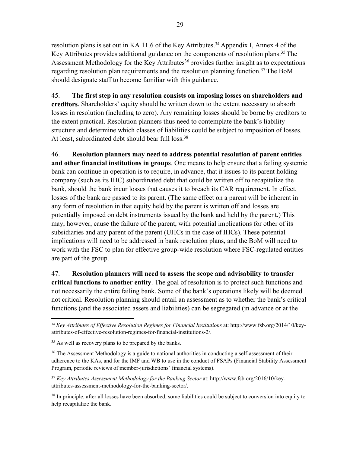resolution plans is set out in KA 11.6 of the Key Attributes.<sup>34</sup> Appendix I, Annex 4 of the Key Attributes provides additional guidance on the components of resolution plans.<sup>35</sup> The Assessment Methodology for the Key Attributes<sup>36</sup> provides further insight as to expectations regarding resolution plan requirements and the resolution planning function.<sup>37</sup> The BoM should designate staff to become familiar with this guidance.

45. **The first step in any resolution consists on imposing losses on shareholders and creditors**. Shareholders' equity should be written down to the extent necessary to absorb losses in resolution (including to zero). Any remaining losses should be borne by creditors to the extent practical. Resolution planners thus need to contemplate the bank's liability structure and determine which classes of liabilities could be subject to imposition of losses. At least, subordinated debt should bear full loss.<sup>38</sup>

46. **Resolution planners may need to address potential resolution of parent entities and other financial institutions in groups**. One means to help ensure that a failing systemic bank can continue in operation is to require, in advance, that it issues to its parent holding company (such as its IHC) subordinated debt that could be written off to recapitalize the bank, should the bank incur losses that causes it to breach its CAR requirement. In effect, losses of the bank are passed to its parent. (The same effect on a parent will be inherent in any form of resolution in that equity held by the parent is written off and losses are potentially imposed on debt instruments issued by the bank and held by the parent.) This may, however, cause the failure of the parent, with potential implications for other of its subsidiaries and any parent of the parent (UHCs in the case of IHCs). These potential implications will need to be addressed in bank resolution plans, and the BoM will need to work with the FSC to plan for effective group-wide resolution where FSC-regulated entities are part of the group.

47. **Resolution planners will need to assess the scope and advisability to transfer critical functions to another entity**. The goal of resolution is to protect such functions and not necessarily the entire failing bank. Some of the bank's operations likely will be deemed not critical. Resolution planning should entail an assessment as to whether the bank's critical functions (and the associated assets and liabilities) can be segregated (in advance or at the

 $\overline{a}$ <sup>34</sup> *Key Attributes of Effective Resolution Regimes for Financial Institutions* at: http://www.fsb.org/2014/10/keyattributes-of-effective-resolution-regimes-for-financial-institutions-2/.

<sup>&</sup>lt;sup>35</sup> As well as recovery plans to be prepared by the banks.

 $36$  The Assessment Methodology is a guide to national authorities in conducting a self-assessment of their adherence to the KAs, and for the IMF and WB to use in the conduct of FSAPs (Financial Stability Assessment Program, periodic reviews of member-jurisdictions' financial systems).

<sup>37</sup> *Key Attributes Assessment Methodology for the Banking Sector* at: http://www.fsb.org/2016/10/keyattributes-assessment-methodology-for-the-banking-sector/.

<sup>&</sup>lt;sup>38</sup> In principle, after all losses have been absorbed, some liabilities could be subject to conversion into equity to help recapitalize the bank.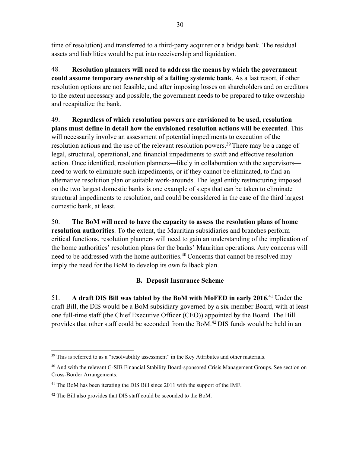time of resolution) and transferred to a third-party acquirer or a bridge bank. The residual assets and liabilities would be put into receivership and liquidation.

48. **Resolution planners will need to address the means by which the government could assume temporary ownership of a failing systemic bank**. As a last resort, if other resolution options are not feasible, and after imposing losses on shareholders and on creditors to the extent necessary and possible, the government needs to be prepared to take ownership and recapitalize the bank.

49. **Regardless of which resolution powers are envisioned to be used, resolution plans must define in detail how the envisioned resolution actions will be executed**. This will necessarily involve an assessment of potential impediments to execution of the resolution actions and the use of the relevant resolution powers.<sup>39</sup> There may be a range of legal, structural, operational, and financial impediments to swift and effective resolution action. Once identified, resolution planners—likely in collaboration with the supervisors need to work to eliminate such impediments, or if they cannot be eliminated, to find an alternative resolution plan or suitable work-arounds. The legal entity restructuring imposed on the two largest domestic banks is one example of steps that can be taken to eliminate structural impediments to resolution, and could be considered in the case of the third largest domestic bank, at least.

50. **The BoM will need to have the capacity to assess the resolution plans of home resolution authorities**. To the extent, the Mauritian subsidiaries and branches perform critical functions, resolution planners will need to gain an understanding of the implication of the home authorities' resolution plans for the banks' Mauritian operations. Any concerns will need to be addressed with the home authorities.<sup>40</sup> Concerns that cannot be resolved may imply the need for the BoM to develop its own fallback plan.

# **B. Deposit Insurance Scheme**

51. **A draft DIS Bill was tabled by the BoM with MoFED in early 2016**. 41 Under the draft Bill, the DIS would be a BoM subsidiary governed by a six-member Board, with at least one full-time staff (the Chief Executive Officer (CEO)) appointed by the Board. The Bill provides that other staff could be seconded from the BoM.<sup>42</sup> DIS funds would be held in an

 $\overline{a}$ 

 $39$  This is referred to as a "resolvability assessment" in the Key Attributes and other materials.

<sup>&</sup>lt;sup>40</sup> And with the relevant G-SIB Financial Stability Board-sponsored Crisis Management Groups. See section on Cross-Border Arrangements.

 $41$  The BoM has been iterating the DIS Bill since 2011 with the support of the IMF.

 $42$  The Bill also provides that DIS staff could be seconded to the BoM.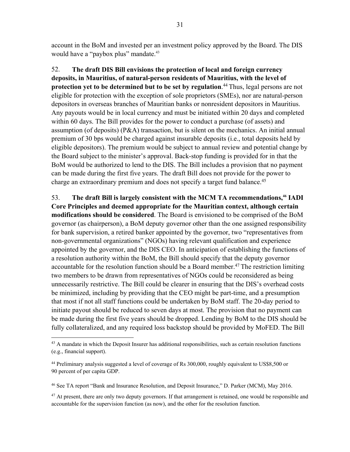account in the BoM and invested per an investment policy approved by the Board. The DIS would have a "paybox plus" mandate.<sup>43</sup>

52. **The draft DIS Bill envisions the protection of local and foreign currency deposits, in Mauritius, of natural-person residents of Mauritius, with the level of protection yet to be determined but to be set by regulation**. 44 Thus, legal persons are not eligible for protection with the exception of sole proprietors (SMEs), nor are natural-person depositors in overseas branches of Mauritian banks or nonresident depositors in Mauritius. Any payouts would be in local currency and must be initiated within 20 days and completed within 60 days. The Bill provides for the power to conduct a purchase (of assets) and assumption (of deposits) (P&A) transaction, but is silent on the mechanics. An initial annual premium of 30 bps would be charged against insurable deposits (i.e., total deposits held by eligible depositors). The premium would be subject to annual review and potential change by the Board subject to the minister's approval. Back-stop funding is provided for in that the BoM would be authorized to lend to the DIS. The Bill includes a provision that no payment can be made during the first five years. The draft Bill does not provide for the power to charge an extraordinary premium and does not specify a target fund balance.<sup>45</sup>

53. The draft Bill is largely consistent with the MCM TA recommendations,<sup>46</sup> IADI **Core Principles and deemed appropriate for the Mauritian context, although certain modifications should be considered**. The Board is envisioned to be comprised of the BoM governor (as chairperson), a BoM deputy governor other than the one assigned responsibility for bank supervision, a retired banker appointed by the governor, two "representatives from non-governmental organizations" (NGOs) having relevant qualification and experience appointed by the governor, and the DIS CEO. In anticipation of establishing the functions of a resolution authority within the BoM, the Bill should specify that the deputy governor accountable for the resolution function should be a Board member.<sup>47</sup> The restriction limiting two members to be drawn from representatives of NGOs could be reconsidered as being unnecessarily restrictive. The Bill could be clearer in ensuring that the DIS's overhead costs be minimized, including by providing that the CEO might be part-time, and a presumption that most if not all staff functions could be undertaken by BoM staff. The 20-day period to initiate payout should be reduced to seven days at most. The provision that no payment can be made during the first five years should be dropped. Lending by BoM to the DIS should be fully collateralized, and any required loss backstop should be provided by MoFED. The Bill

1

 $43$  A mandate in which the Deposit Insurer has additional responsibilities, such as certain resolution functions (e.g., financial support).

<sup>&</sup>lt;sup>44</sup> Preliminary analysis suggested a level of coverage of Rs 300,000, roughly equivalent to US\$8,500 or 90 percent of per capita GDP.

<sup>46</sup> See TA report "Bank and Insurance Resolution, and Deposit Insurance," D. Parker (MCM), May 2016.

<sup>&</sup>lt;sup>47</sup> At present, there are only two deputy governors. If that arrangement is retained, one would be responsible and accountable for the supervision function (as now), and the other for the resolution function.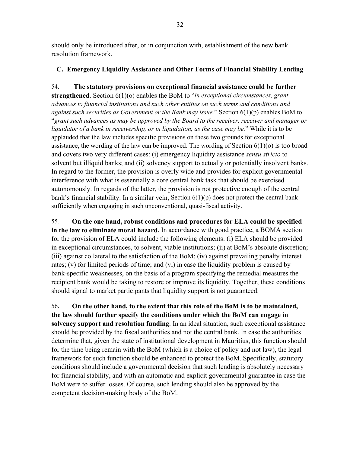should only be introduced after, or in conjunction with, establishment of the new bank resolution framework.

#### **C. Emergency Liquidity Assistance and Other Forms of Financial Stability Lending**

54. **The statutory provisions on exceptional financial assistance could be further strengthened**. Section 6(1)(o) enables the BoM to "*in exceptional circumstances, grant advances to financial institutions and such other entities on such terms and conditions and against such securities as Government or the Bank may issue.*" Section 6(1)(p) enables BoM to "*grant such advances as may be approved by the Board to the receiver, receiver and manager or liquidator of a bank in receivership, or in liquidation, as the case may be.*" While it is to be applauded that the law includes specific provisions on these two grounds for exceptional assistance, the wording of the law can be improved. The wording of Section  $6(1)(o)$  is too broad and covers two very different cases: (i) emergency liquidity assistance *sensu stricto* to solvent but illiquid banks; and (ii) solvency support to actually or potentially insolvent banks. In regard to the former, the provision is overly wide and provides for explicit governmental interference with what is essentially a core central bank task that should be exercised autonomously. In regards of the latter, the provision is not protective enough of the central bank's financial stability. In a similar vein, Section 6(1)(p) does not protect the central bank sufficiently when engaging in such unconventional, quasi-fiscal activity.

55. **On the one hand, robust conditions and procedures for ELA could be specified in the law to eliminate moral hazard**. In accordance with good practice, a BOMA section for the provision of ELA could include the following elements: (i) ELA should be provided in exceptional circumstances, to solvent, viable institutions; (ii) at BoM's absolute discretion; (iii) against collateral to the satisfaction of the BoM; (iv) against prevailing penalty interest rates; (v) for limited periods of time; and (vi) in case the liquidity problem is caused by bank-specific weaknesses, on the basis of a program specifying the remedial measures the recipient bank would be taking to restore or improve its liquidity. Together, these conditions should signal to market participants that liquidity support is not guaranteed.

56. **On the other hand, to the extent that this role of the BoM is to be maintained, the law should further specify the conditions under which the BoM can engage in solvency support and resolution funding**. In an ideal situation, such exceptional assistance should be provided by the fiscal authorities and not the central bank. In case the authorities determine that, given the state of institutional development in Mauritius, this function should for the time being remain with the BoM (which is a choice of policy and not law), the legal framework for such function should be enhanced to protect the BoM. Specifically, statutory conditions should include a governmental decision that such lending is absolutely necessary for financial stability, and with an automatic and explicit governmental guarantee in case the BoM were to suffer losses. Of course, such lending should also be approved by the competent decision-making body of the BoM.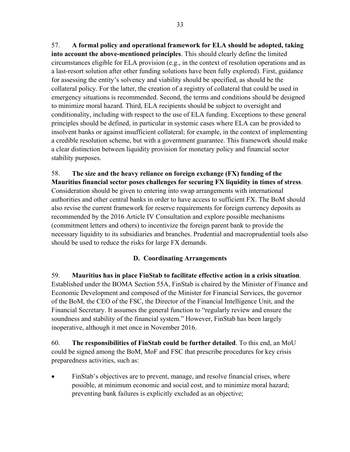57. **A formal policy and operational framework for ELA should be adopted, taking into account the above-mentioned principles**. This should clearly define the limited circumstances eligible for ELA provision (e.g., in the context of resolution operations and as a last-resort solution after other funding solutions have been fully explored). First, guidance for assessing the entity's solvency and viability should be specified, as should be the collateral policy. For the latter, the creation of a registry of collateral that could be used in emergency situations is recommended. Second, the terms and conditions should be designed to minimize moral hazard. Third, ELA recipients should be subject to oversight and conditionality, including with respect to the use of ELA funding. Exceptions to these general principles should be defined, in particular in systemic cases where ELA can be provided to insolvent banks or against insufficient collateral; for example, in the context of implementing a credible resolution scheme, but with a government guarantee. This framework should make a clear distinction between liquidity provision for monetary policy and financial sector stability purposes.

58. **The size and the heavy reliance on foreign exchange (FX) funding of the Mauritius financial sector poses challenges for securing FX liquidity in times of stress**. Consideration should be given to entering into swap arrangements with international authorities and other central banks in order to have access to sufficient FX. The BoM should also revise the current framework for reserve requirements for foreign currency deposits as recommended by the 2016 Article IV Consultation and explore possible mechanisms (commitment letters and others) to incentivize the foreign parent bank to provide the necessary liquidity to its subsidiaries and branches. Prudential and macroprudential tools also should be used to reduce the risks for large FX demands.

# **D. Coordinating Arrangements**

59. **Mauritius has in place FinStab to facilitate effective action in a crisis situation**. Established under the BOMA Section 55A, FinStab is chaired by the Minister of Finance and Economic Development and composed of the Minister for Financial Services, the governor of the BoM, the CEO of the FSC, the Director of the Financial Intelligence Unit, and the Financial Secretary. It assumes the general function to "regularly review and ensure the soundness and stability of the financial system." However, FinStab has been largely inoperative, although it met once in November 2016.

60. **The responsibilities of FinStab could be further detailed**. To this end, an MoU could be signed among the BoM, MoF and FSC that prescribe procedures for key crisis preparedness activities, such as:

 FinStab's objectives are to prevent, manage, and resolve financial crises, where possible, at minimum economic and social cost, and to minimize moral hazard; preventing bank failures is explicitly excluded as an objective;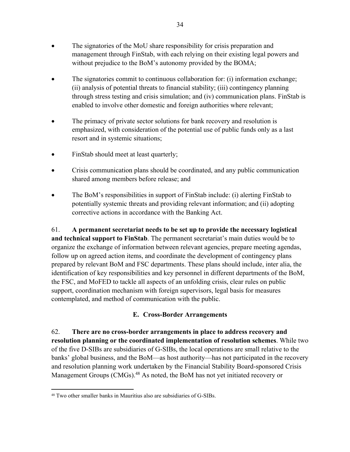- The signatories of the MoU share responsibility for crisis preparation and management through FinStab, with each relying on their existing legal powers and without prejudice to the BoM's autonomy provided by the BOMA;
- The signatories commit to continuous collaboration for: (i) information exchange; (ii) analysis of potential threats to financial stability; (iii) contingency planning through stress testing and crisis simulation; and (iv) communication plans. FinStab is enabled to involve other domestic and foreign authorities where relevant;
- The primacy of private sector solutions for bank recovery and resolution is emphasized, with consideration of the potential use of public funds only as a last resort and in systemic situations;
- FinStab should meet at least quarterly;
- Crisis communication plans should be coordinated, and any public communication shared among members before release; and
- The BoM's responsibilities in support of FinStab include: (i) alerting FinStab to potentially systemic threats and providing relevant information; and (ii) adopting corrective actions in accordance with the Banking Act.

61. **A permanent secretariat needs to be set up to provide the necessary logistical and technical support to FinStab**. The permanent secretariat's main duties would be to organize the exchange of information between relevant agencies, prepare meeting agendas, follow up on agreed action items, and coordinate the development of contingency plans prepared by relevant BoM and FSC departments. These plans should include, inter alia, the identification of key responsibilities and key personnel in different departments of the BoM, the FSC, and MoFED to tackle all aspects of an unfolding crisis, clear rules on public support, coordination mechanism with foreign supervisors, legal basis for measures contemplated, and method of communication with the public.

# **E. Cross-Border Arrangements**

62. **There are no cross-border arrangements in place to address recovery and resolution planning or the coordinated implementation of resolution schemes**. While two of the five D-SIBs are subsidiaries of G-SIBs, the local operations are small relative to the banks' global business, and the BoM—as host authority—has not participated in the recovery and resolution planning work undertaken by the Financial Stability Board-sponsored Crisis Management Groups (CMGs).<sup>48</sup> As noted, the BoM has not yet initiated recovery or

 $\overline{a}$ <sup>48</sup> Two other smaller banks in Mauritius also are subsidiaries of G-SIBs.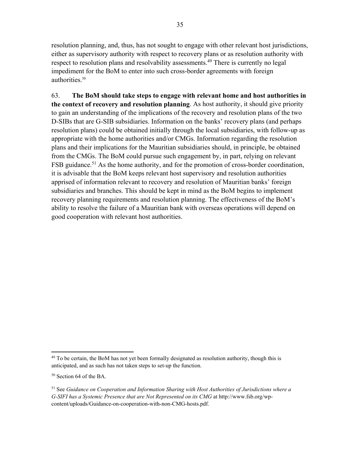resolution planning, and, thus, has not sought to engage with other relevant host jurisdictions, either as supervisory authority with respect to recovery plans or as resolution authority with respect to resolution plans and resolvability assessments.<sup>49</sup> There is currently no legal impediment for the BoM to enter into such cross-border agreements with foreign authorities.<sup>50</sup>

63. **The BoM should take steps to engage with relevant home and host authorities in the context of recovery and resolution planning**. As host authority, it should give priority to gain an understanding of the implications of the recovery and resolution plans of the two D-SIBs that are G-SIB subsidiaries. Information on the banks' recovery plans (and perhaps resolution plans) could be obtained initially through the local subsidiaries, with follow-up as appropriate with the home authorities and/or CMGs. Information regarding the resolution plans and their implications for the Mauritian subsidiaries should, in principle, be obtained from the CMGs. The BoM could pursue such engagement by, in part, relying on relevant FSB guidance.<sup>51</sup> As the home authority, and for the promotion of cross-border coordination, it is advisable that the BoM keeps relevant host supervisory and resolution authorities apprised of information relevant to recovery and resolution of Mauritian banks' foreign subsidiaries and branches. This should be kept in mind as the BoM begins to implement recovery planning requirements and resolution planning. The effectiveness of the BoM's ability to resolve the failure of a Mauritian bank with overseas operations will depend on good cooperation with relevant host authorities.

 $\overline{a}$ <sup>49</sup> To be certain, the BoM has not yet been formally designated as resolution authority, though this is anticipated, and as such has not taken steps to set-up the function.

<sup>50</sup> Section 64 of the BA.

<sup>51</sup> See *Guidance on Cooperation and Information Sharing with Host Authorities of Jurisdictions where a G-SIFI has a Systemic Presence that are Not Represented on its CMG* at http://www.fsb.org/wpcontent/uploads/Guidance-on-cooperation-with-non-CMG-hosts.pdf.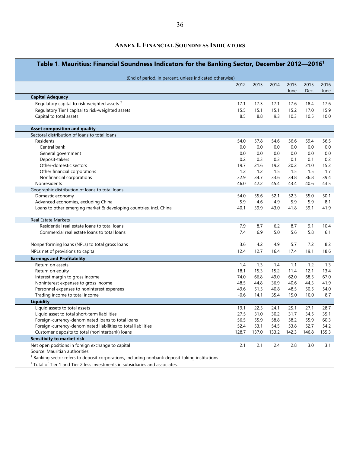| (End of period, in percent, unless indicated otherwise)            |        |       |       |       |       |
|--------------------------------------------------------------------|--------|-------|-------|-------|-------|
|                                                                    | 2012   | 2013  | 2014  | 2015  | 2015  |
| <b>Capital Adequacy</b>                                            |        |       |       | June  | Dec.  |
| Regulatory capital to risk-weighted assets <sup>2</sup>            | 17.1   | 17.3  | 17.1  | 17.6  | 18.4  |
| Regulatory Tier I capital to risk-weighted assets                  | 15.5   | 15.1  | 15.1  | 15.2  | 17.0  |
|                                                                    | 8.5    | 8.8   | 9.3   | 10.3  | 10.5  |
| Capital to total assets                                            |        |       |       |       |       |
| <b>Asset composition and quality</b>                               |        |       |       |       |       |
| Sectoral distribution of loans to total loans                      |        |       |       |       |       |
| Residents                                                          | 54.0   | 57.8  | 54.6  | 56.6  | 59.4  |
| Central bank                                                       | 0.0    | 0.0   | 0.0   | 0.0   | 0.0   |
| General government                                                 | 0.0    | 0.0   | 0.0   | 0.0   | 0.0   |
| Deposit-takers                                                     | 0.2    | 0.3   | 0.3   | 0.1   | 0.1   |
| Other-domestic sectors                                             | 19.7   | 21.6  | 19.2  | 20.2  | 21.0  |
| Other financial corporations                                       | 1.2    | 1.2   | 1.5   | 1.5   | 1.5   |
| Nonfinancial corporations                                          | 32.9   | 34.7  | 33.6  | 34.8  | 36.8  |
| Nonresidents                                                       | 46.0   | 42.2  | 45.4  | 43.4  | 40.6  |
| Geographic distribution of loans to total loans                    |        |       |       |       |       |
| Domestic economy                                                   | 54.0   | 55.6  | 52.1  | 52.3  | 55.0  |
| Advanced economies, excluding China                                | 5.9    | 4.6   | 4.9   | 5.9   | 5.9   |
| Loans to other emerging market & developing countries, incl. China | 40.1   | 39.9  | 43.0  | 41.8  | 39.1  |
| <b>Real Estate Markets</b>                                         |        |       |       |       |       |
| Residential real estate loans to total loans                       | 7.9    | 8.7   | 6.2   | 8.7   | 9.1   |
| Commercial real estate loans to total loans                        | 7.4    | 6.9   | 5.0   | 5.6   | 5.8   |
| Nonperforming loans (NPLs) to total gross loans                    | 3.6    | 4.2   | 4.9   | 5.7   | 7.2   |
| NPLs net of provisions to capital                                  | 12.4   | 12.7  | 16.4  | 17.4  | 19.1  |
| <b>Earnings and Profitability</b>                                  |        |       |       |       |       |
| Return on assets                                                   | 1.4    | 1.3   | 1.4   | 1.1   | 1.2   |
| Return on equity                                                   | 18.1   | 15.3  | 15.2  | 11.4  | 12.1  |
| Interest margin to gross income                                    | 74.0   | 66.8  | 49.0  | 62.0  | 68.5  |
| Noninterest expenses to gross income                               | 48.5   | 44.8  | 36.9  | 40.6  | 44.3  |
| Personnel expenses to noninterest expenses                         | 49.6   | 51.5  | 40.8  | 48.5  | 50.5  |
| Trading income to total income                                     | $-0.6$ | 14.1  | 35.4  | 15.0  | 10.0  |
| <b>Liquidity</b>                                                   |        |       |       |       |       |
| Liquid assets to total assets                                      | 19.1   | 22.5  | 24.1  | 25.1  | 27.1  |
| Liquid asset to total short-term liabilities                       | 27.5   | 31.0  | 30.2  | 31.7  | 34.5  |
| Foreign-currency-denominated loans to total loans                  | 56.5   | 55.9  | 58.8  | 58.2  | 55.9  |
| Foreign-currency-denominated liabilities to total liabilities      | 52.4   | 53.1  | 54.5  | 53.8  | 52.7  |
| Customer deposits to total (noninterbank) loans                    | 128.7  | 137.0 | 133.2 | 142.3 | 146.8 |
| <b>Sensitivity to market risk</b>                                  |        |       |       |       |       |
| Net open positions in foreign exchange to capital                  | 2.1    | 2.1   | 2.4   | 2.8   | 3.0   |
| Source: Mauritian authorities.                                     |        |       |       |       |       |

# **ANNEX I. FINANCIAL SOUNDNESS INDICATORS**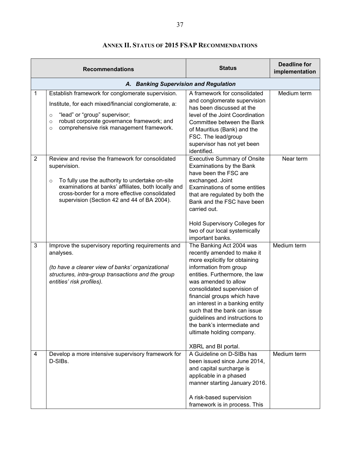|                | <b>Recommendations</b>                                                                                                                                                                                                                                                                 | <b>Status</b>                                                                                                                                                                                                                                                                                                                                                                                                                      | <b>Deadline for</b><br>implementation |
|----------------|----------------------------------------------------------------------------------------------------------------------------------------------------------------------------------------------------------------------------------------------------------------------------------------|------------------------------------------------------------------------------------------------------------------------------------------------------------------------------------------------------------------------------------------------------------------------------------------------------------------------------------------------------------------------------------------------------------------------------------|---------------------------------------|
|                | A. Banking Supervision and Regulation                                                                                                                                                                                                                                                  |                                                                                                                                                                                                                                                                                                                                                                                                                                    |                                       |
| 1              | Establish framework for conglomerate supervision.<br>Institute, for each mixed/financial conglomerate, a:<br>"lead" or "group" supervisor;<br>$\circ$<br>robust corporate governance framework; and<br>$\circ$<br>comprehensive risk management framework.<br>$\circ$                  | A framework for consolidated<br>and conglomerate supervision<br>has been discussed at the<br>level of the Joint Coordination<br>Committee between the Bank<br>of Mauritius (Bank) and the<br>FSC. The lead/group<br>supervisor has not yet been<br>identified.                                                                                                                                                                     | Medium term                           |
| $\overline{2}$ | Review and revise the framework for consolidated<br>supervision.<br>To fully use the authority to undertake on-site<br>$\circ$<br>examinations at banks' affiliates, both locally and<br>cross-border for a more effective consolidated<br>supervision (Section 42 and 44 of BA 2004). | <b>Executive Summary of Onsite</b><br>Examinations by the Bank<br>have been the FSC are<br>exchanged. Joint<br>Examinations of some entities<br>that are regulated by both the<br>Bank and the FSC have been<br>carried out.<br><b>Hold Supervisory Colleges for</b>                                                                                                                                                               | Near term                             |
|                |                                                                                                                                                                                                                                                                                        | two of our local systemically<br>important banks.                                                                                                                                                                                                                                                                                                                                                                                  |                                       |
| 3              | Improve the supervisory reporting requirements and<br>analyses.<br>(to have a clearer view of banks' organizational<br>structures, intra-group transactions and the group<br>entities' risk profiles).                                                                                 | The Banking Act 2004 was<br>recently amended to make it<br>more explicitly for obtaining<br>information from group<br>entities. Furthermore, the law<br>was amended to allow<br>consolidated supervision of<br>financial groups which have<br>an interest in a banking entity<br>such that the bank can issue<br>guidelines and instructions to<br>the bank's intermediate and<br>ultimate holding company.<br>XBRL and BI portal. | Medium term                           |
| 4              | Develop a more intensive supervisory framework for<br>D-SIBs.                                                                                                                                                                                                                          | A Guideline on D-SIBs has<br>been issued since June 2014,<br>and capital surcharge is<br>applicable in a phased<br>manner starting January 2016.<br>A risk-based supervision<br>framework is in process. This                                                                                                                                                                                                                      | Medium term                           |

# **ANNEX II. STATUS OF 2015 FSAP RECOMMENDATIONS**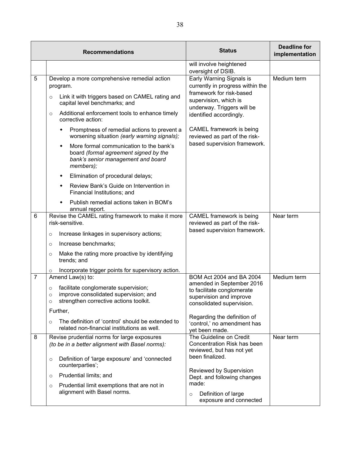|                | <b>Recommendations</b>                                                                                                                                   | <b>Status</b>                                                                                              | <b>Deadline for</b><br>implementation |
|----------------|----------------------------------------------------------------------------------------------------------------------------------------------------------|------------------------------------------------------------------------------------------------------------|---------------------------------------|
|                |                                                                                                                                                          | will involve heightened<br>oversight of DSIB.                                                              |                                       |
| 5              | Develop a more comprehensive remedial action<br>program.                                                                                                 | Early Warning Signals is<br>currently in progress within the                                               | Medium term                           |
|                | Link it with triggers based on CAMEL rating and<br>$\circ$<br>capital level benchmarks; and                                                              | framework for risk-based<br>supervision, which is<br>underway. Triggers will be<br>identified accordingly. |                                       |
|                | Additional enforcement tools to enhance timely<br>$\circ$<br>corrective action:                                                                          |                                                                                                            |                                       |
|                | Promptness of remedial actions to prevent a<br>worsening situation (early warning signals);                                                              | CAMEL framework is being<br>reviewed as part of the risk-<br>based supervision framework.                  |                                       |
|                | More formal communication to the bank's<br>٠<br>board (formal agreement signed by the<br>bank's senior management and board<br>members);                 |                                                                                                            |                                       |
|                | Elimination of procedural delays;<br>٠                                                                                                                   |                                                                                                            |                                       |
|                | Review Bank's Guide on Intervention in<br>٠<br>Financial Institutions; and                                                                               |                                                                                                            |                                       |
|                | Publish remedial actions taken in BOM's<br>annual report.                                                                                                |                                                                                                            |                                       |
| 6              | Revise the CAMEL rating framework to make it more<br>risk-sensitive.                                                                                     | CAMEL framework is being                                                                                   | Near term                             |
|                |                                                                                                                                                          | reviewed as part of the risk-<br>based supervision framework.                                              |                                       |
|                | Increase linkages in supervisory actions;<br>$\circ$                                                                                                     |                                                                                                            |                                       |
|                | Increase benchmarks;<br>$\circ$                                                                                                                          |                                                                                                            |                                       |
|                | Make the rating more proactive by identifying<br>$\circ$<br>trends; and                                                                                  |                                                                                                            |                                       |
| $\overline{7}$ | Incorporate trigger points for supervisory action.<br>$\circ$<br>Amend Law(s) to:                                                                        | BOM Act 2004 and BA 2004                                                                                   | Medium term                           |
|                |                                                                                                                                                          | amended in September 2016                                                                                  |                                       |
|                | facilitate conglomerate supervision;<br>$\circ$<br>improve consolidated supervision; and<br>$\circ$<br>strengthen corrective actions toolkit.<br>$\circ$ | to facilitate conglomerate<br>supervision and improve<br>consolidated supervision.                         |                                       |
|                | Further,                                                                                                                                                 |                                                                                                            |                                       |
|                | The definition of 'control' should be extended to<br>$\Omega$<br>related non-financial institutions as well.                                             | Regarding the definition of<br>'control,' no amendment has<br>yet been made.                               |                                       |
| 8              | Revise prudential norms for large exposures<br>(to be in a better alignment with Basel norms):                                                           | The Guideline on Credit<br>Concentration Risk has been<br>reviewed, but has not yet                        | Near term                             |
|                | Definition of 'large exposure' and 'connected<br>O<br>counterparties';                                                                                   | been finalized.                                                                                            |                                       |
|                | Prudential limits; and<br>O                                                                                                                              | Reviewed by Supervision<br>Dept. and following changes                                                     |                                       |
|                | Prudential limit exemptions that are not in<br>O                                                                                                         | made:                                                                                                      |                                       |
|                | alignment with Basel norms.                                                                                                                              | Definition of large<br>$\circ$<br>exposure and connected                                                   |                                       |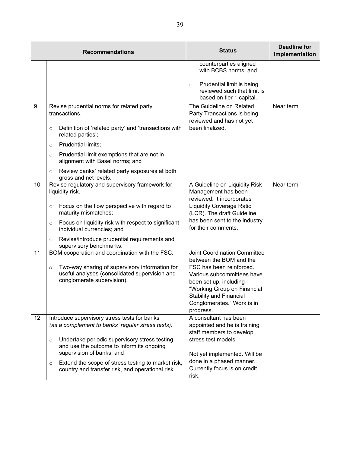|    | <b>Recommendations</b>                                                                                            | <b>Status</b>                                                                                   | <b>Deadline for</b><br>implementation |
|----|-------------------------------------------------------------------------------------------------------------------|-------------------------------------------------------------------------------------------------|---------------------------------------|
|    |                                                                                                                   | counterparties aligned<br>with BCBS norms; and                                                  |                                       |
|    |                                                                                                                   | Prudential limit is being<br>$\circ$<br>reviewed such that limit is<br>based on tier 1 capital. |                                       |
| 9  | Revise prudential norms for related party<br>transactions.                                                        | The Guideline on Related<br>Party Transactions is being<br>reviewed and has not yet             | Near term                             |
|    | Definition of 'related party' and 'transactions with<br>$\circ$<br>related parties';                              | been finalized.                                                                                 |                                       |
|    | Prudential limits;<br>$\circ$                                                                                     |                                                                                                 |                                       |
|    | Prudential limit exemptions that are not in<br>$\circ$<br>alignment with Basel norms; and                         |                                                                                                 |                                       |
|    | Review banks' related party exposures at both<br>$\circ$<br>gross and net levels.                                 |                                                                                                 |                                       |
| 10 | Revise regulatory and supervisory framework for<br>liquidity risk.                                                | A Guideline on Liquidity Risk<br>Management has been<br>reviewed. It incorporates               | Near term                             |
|    | Focus on the flow perspective with regard to<br>$\circ$<br>maturity mismatches;                                   | <b>Liquidity Coverage Ratio</b><br>(LCR). The draft Guideline                                   |                                       |
|    | Focus on liquidity risk with respect to significant<br>$\circ$<br>individual currencies; and                      | has been sent to the industry<br>for their comments.                                            |                                       |
|    | Revise/introduce prudential requirements and<br>$\circ$<br>supervisory benchmarks.                                |                                                                                                 |                                       |
| 11 | BOM cooperation and coordination with the FSC.                                                                    | <b>Joint Coordination Committee</b><br>between the BOM and the                                  |                                       |
|    | Two-way sharing of supervisory information for<br>$\circ$                                                         | FSC has been reinforced.                                                                        |                                       |
|    | useful analyses (consolidated supervision and<br>conglomerate supervision).                                       | Various subcommittees have                                                                      |                                       |
|    |                                                                                                                   | been set up, including<br>"Working Group on Financial                                           |                                       |
|    |                                                                                                                   | <b>Stability and Financial</b>                                                                  |                                       |
|    |                                                                                                                   | Conglomerates." Work is in<br>progress.                                                         |                                       |
| 12 | Introduce supervisory stress tests for banks                                                                      | A consultant has been                                                                           |                                       |
|    | (as a complement to banks' regular stress tests).                                                                 | appointed and he is training                                                                    |                                       |
|    | Undertake periodic supervisory stress testing<br>$\circ$<br>and use the outcome to inform its ongoing             | staff members to develop<br>stress test models.                                                 |                                       |
|    | supervision of banks; and                                                                                         | Not yet implemented. Will be                                                                    |                                       |
|    | Extend the scope of stress testing to market risk,<br>$\circ$<br>country and transfer risk, and operational risk. | done in a phased manner.<br>Currently focus is on credit                                        |                                       |
|    |                                                                                                                   | risk.                                                                                           |                                       |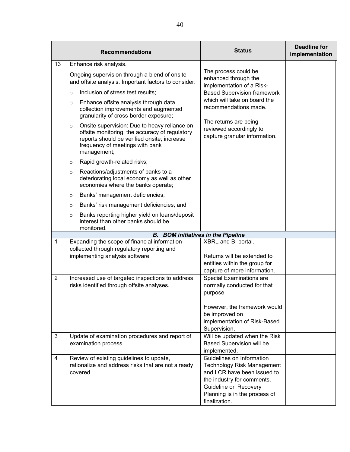|                | <b>Recommendations</b>                                                                                                                                                                                     | <b>Status</b>                                                                                                                                                                                          | <b>Deadline for</b><br>implementation |
|----------------|------------------------------------------------------------------------------------------------------------------------------------------------------------------------------------------------------------|--------------------------------------------------------------------------------------------------------------------------------------------------------------------------------------------------------|---------------------------------------|
| 13             | Enhance risk analysis.                                                                                                                                                                                     |                                                                                                                                                                                                        |                                       |
|                | Ongoing supervision through a blend of onsite<br>and offsite analysis. Important factors to consider:                                                                                                      | The process could be<br>enhanced through the<br>implementation of a Risk-                                                                                                                              |                                       |
|                | Inclusion of stress test results;<br>$\circ$                                                                                                                                                               | <b>Based Supervision framework</b>                                                                                                                                                                     |                                       |
|                | Enhance offsite analysis through data<br>$\circ$<br>collection improvements and augmented<br>granularity of cross-border exposure;                                                                         | which will take on board the<br>recommendations made.                                                                                                                                                  |                                       |
|                | Onsite supervision: Due to heavy reliance on<br>$\circ$<br>offsite monitoring, the accuracy of regulatory<br>reports should be verified onsite; increase<br>frequency of meetings with bank<br>management; | The returns are being<br>reviewed accordingly to<br>capture granular information.                                                                                                                      |                                       |
|                | Rapid growth-related risks;<br>$\circ$                                                                                                                                                                     |                                                                                                                                                                                                        |                                       |
|                | Reactions/adjustments of banks to a<br>$\circ$<br>deteriorating local economy as well as other<br>economies where the banks operate;                                                                       |                                                                                                                                                                                                        |                                       |
|                | Banks' management deficiencies;<br>$\circ$                                                                                                                                                                 |                                                                                                                                                                                                        |                                       |
|                | Banks' risk management deficiencies; and<br>$\circ$                                                                                                                                                        |                                                                                                                                                                                                        |                                       |
|                | Banks reporting higher yield on loans/deposit<br>$\circ$<br>interest than other banks should be<br>monitored.                                                                                              |                                                                                                                                                                                                        |                                       |
|                | <b>B.</b> BOM initiatives in the Pipeline                                                                                                                                                                  |                                                                                                                                                                                                        |                                       |
| $\mathbf{1}$   | Expanding the scope of financial information                                                                                                                                                               | XBRL and BI portal.                                                                                                                                                                                    |                                       |
|                | collected through regulatory reporting and                                                                                                                                                                 |                                                                                                                                                                                                        |                                       |
|                | implementing analysis software.                                                                                                                                                                            | Returns will be extended to                                                                                                                                                                            |                                       |
|                |                                                                                                                                                                                                            | entities within the group for<br>capture of more information.                                                                                                                                          |                                       |
| $\overline{2}$ | Increased use of targeted inspections to address                                                                                                                                                           | Special Examinations are                                                                                                                                                                               |                                       |
|                | risks identified through offsite analyses.                                                                                                                                                                 | normally conducted for that<br>purpose.                                                                                                                                                                |                                       |
|                |                                                                                                                                                                                                            | However, the framework would<br>be improved on<br>implementation of Risk-Based<br>Supervision.                                                                                                         |                                       |
| 3              | Update of examination procedures and report of<br>examination process.                                                                                                                                     | Will be updated when the Risk<br>Based Supervision will be<br>implemented.                                                                                                                             |                                       |
| 4              | Review of existing guidelines to update,<br>rationalize and address risks that are not already<br>covered.                                                                                                 | Guidelines on Information<br><b>Technology Risk Management</b><br>and LCR have been issued to<br>the industry for comments.<br>Guideline on Recovery<br>Planning is in the process of<br>finalization. |                                       |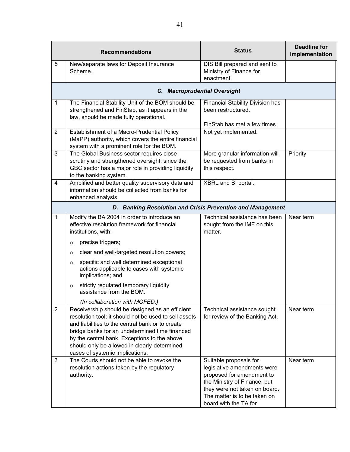|                | <b>Recommendations</b>                                                                                                                                                                                                                                                                                                                                                              | <b>Status</b>                                                                                                                                                                                                | <b>Deadline for</b><br>implementation |
|----------------|-------------------------------------------------------------------------------------------------------------------------------------------------------------------------------------------------------------------------------------------------------------------------------------------------------------------------------------------------------------------------------------|--------------------------------------------------------------------------------------------------------------------------------------------------------------------------------------------------------------|---------------------------------------|
| 5              | New/separate laws for Deposit Insurance<br>Scheme.                                                                                                                                                                                                                                                                                                                                  | DIS Bill prepared and sent to<br>Ministry of Finance for<br>enactment.                                                                                                                                       |                                       |
|                | C. Macroprudential Oversight                                                                                                                                                                                                                                                                                                                                                        |                                                                                                                                                                                                              |                                       |
| 1              | The Financial Stability Unit of the BOM should be<br>strengthened and FinStab, as it appears in the<br>law, should be made fully operational.                                                                                                                                                                                                                                       | <b>Financial Stability Division has</b><br>been restructured.<br>FinStab has met a few times.                                                                                                                |                                       |
| $\overline{2}$ | Establishment of a Macro-Prudential Policy<br>(MaPP) authority, which covers the entire financial<br>system with a prominent role for the BOM.                                                                                                                                                                                                                                      | Not yet implemented.                                                                                                                                                                                         |                                       |
| 3              | The Global Business sector requires close<br>scrutiny and strengthened oversight, since the<br>GBC sector has a major role in providing liquidity<br>to the banking system.                                                                                                                                                                                                         | More granular information will<br>be requested from banks in<br>this respect.                                                                                                                                | Priority                              |
| 4              | Amplified and better quality supervisory data and<br>information should be collected from banks for<br>enhanced analysis.                                                                                                                                                                                                                                                           | XBRL and BI portal.                                                                                                                                                                                          |                                       |
|                | D. Banking Resolution and Crisis Prevention and Management                                                                                                                                                                                                                                                                                                                          |                                                                                                                                                                                                              |                                       |
| $\mathbf{1}$   | Modify the BA 2004 in order to introduce an<br>effective resolution framework for financial<br>institutions, with:                                                                                                                                                                                                                                                                  | Technical assistance has been<br>sought from the IMF on this<br>matter.                                                                                                                                      | Near term                             |
|                | precise triggers;<br>$\circ$<br>clear and well-targeted resolution powers;<br>$\circ$                                                                                                                                                                                                                                                                                               |                                                                                                                                                                                                              |                                       |
|                | specific and well determined exceptional<br>$\circ$<br>actions applicable to cases with systemic<br>implications; and                                                                                                                                                                                                                                                               |                                                                                                                                                                                                              |                                       |
|                | strictly regulated temporary liquidity<br>$\circ$<br>assistance from the BOM.                                                                                                                                                                                                                                                                                                       |                                                                                                                                                                                                              |                                       |
| $\overline{2}$ | (In collaboration with MOFED.)<br>Receivership should be designed as an efficient<br>resolution tool; it should not be used to sell assets<br>and liabilities to the central bank or to create<br>bridge banks for an undetermined time financed<br>by the central bank. Exceptions to the above<br>should only be allowed in clearly-determined<br>cases of systemic implications. | Technical assistance sought<br>for review of the Banking Act.                                                                                                                                                | Near term                             |
| 3              | The Courts should not be able to revoke the<br>resolution actions taken by the regulatory<br>authority.                                                                                                                                                                                                                                                                             | Suitable proposals for<br>legislative amendments were<br>proposed for amendment to<br>the Ministry of Finance, but<br>they were not taken on board.<br>The matter is to be taken on<br>board with the TA for | Near term                             |